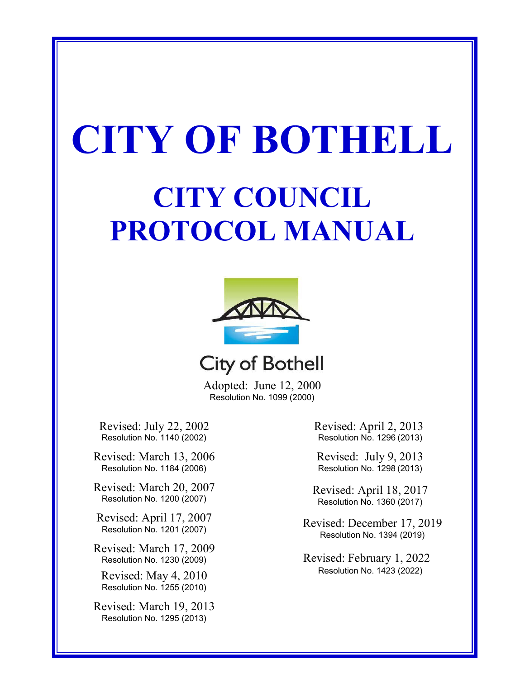# **CITY OF BOTHELL**

## **CITY COUNCIL PROTOCOL MANUAL**





Adopted: June 12, 2000 Resolution No. 1099 (2000)

Revised: July 22, 2002 Resolution No. 1140 (2002)

Revised: March 13, 2006 Resolution No. 1184 (2006)

Revised: March 20, 2007 Resolution No. 1200 (2007)

Revised: April 17, 2007 Resolution No. 1201 (2007)

Revised: March 17, 2009 Resolution No. 1230 (2009)

Revised: May 4, 2010 Resolution No. 1255 (2010)

Revised: March 19, 2013 Resolution No. 1295 (2013)

Revised: April 2, 2013 Resolution No. 1296 (2013)

Revised: July 9, 2013 Resolution No. 1298 (2013)

Revised: April 18, 2017 Resolution No. 1360 (2017)

Revised: December 17, 2019 Resolution No. 1394 (2019)

Revised: February 1, 2022 Resolution No. 1423 (2022)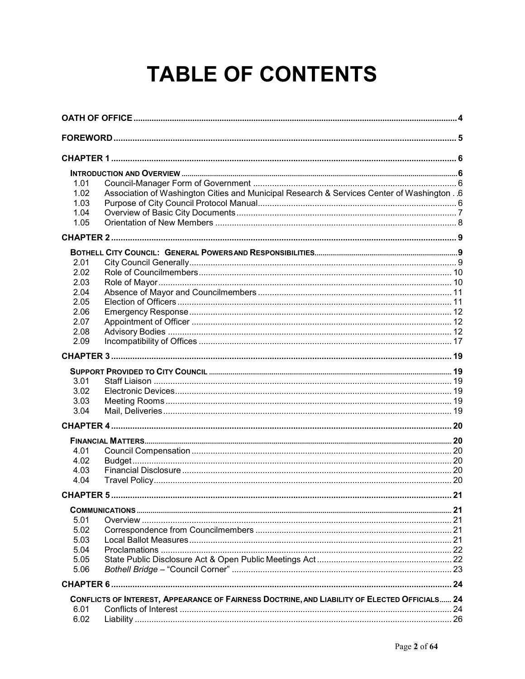## **TABLE OF CONTENTS**

| 1.01                 |                                                                                               |    |  |  |
|----------------------|-----------------------------------------------------------------------------------------------|----|--|--|
| 1.02                 | Association of Washington Cities and Municipal Research & Services Center of Washington . 6   |    |  |  |
| 1.03                 |                                                                                               |    |  |  |
| 1.04                 |                                                                                               |    |  |  |
| 1.05                 |                                                                                               |    |  |  |
|                      |                                                                                               |    |  |  |
|                      |                                                                                               |    |  |  |
| 2.01                 |                                                                                               |    |  |  |
| 2.02                 |                                                                                               |    |  |  |
| 2.03                 |                                                                                               |    |  |  |
| 2.04                 |                                                                                               |    |  |  |
| 2.05                 |                                                                                               |    |  |  |
| 2.06                 |                                                                                               |    |  |  |
| 2.07                 |                                                                                               |    |  |  |
| 2.08                 |                                                                                               |    |  |  |
| 2.09                 |                                                                                               |    |  |  |
|                      |                                                                                               |    |  |  |
|                      |                                                                                               |    |  |  |
| 3.01                 |                                                                                               |    |  |  |
| 3.02                 |                                                                                               |    |  |  |
| 3.03                 |                                                                                               |    |  |  |
| 3.04                 |                                                                                               |    |  |  |
|                      |                                                                                               |    |  |  |
|                      |                                                                                               |    |  |  |
| 4.01                 |                                                                                               |    |  |  |
| 4.02                 |                                                                                               |    |  |  |
| 4.03                 |                                                                                               |    |  |  |
| 4.04                 |                                                                                               |    |  |  |
| CHAPTER <sub>5</sub> |                                                                                               | 21 |  |  |
|                      |                                                                                               |    |  |  |
| 5.01                 |                                                                                               |    |  |  |
| 5.02                 |                                                                                               |    |  |  |
| 5.03                 |                                                                                               |    |  |  |
| 5.04                 |                                                                                               |    |  |  |
| 5.05                 |                                                                                               |    |  |  |
| 5.06                 |                                                                                               |    |  |  |
|                      |                                                                                               |    |  |  |
|                      | CONFLICTS OF INTEREST, APPEARANCE OF FAIRNESS DOCTRINE, AND LIABILITY OF ELECTED OFFICIALS 24 |    |  |  |
| 6.01                 |                                                                                               |    |  |  |
| 6.02                 |                                                                                               |    |  |  |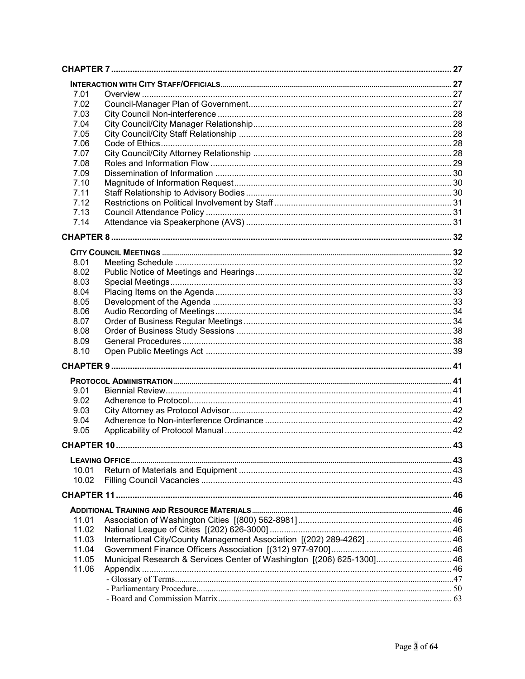| 7.01  |                                                                        |  |
|-------|------------------------------------------------------------------------|--|
| 7.02  |                                                                        |  |
| 7.03  |                                                                        |  |
| 7.04  |                                                                        |  |
| 7.05  |                                                                        |  |
| 7.06  |                                                                        |  |
| 7.07  |                                                                        |  |
| 7.08  |                                                                        |  |
| 7.09  |                                                                        |  |
| 7.10  |                                                                        |  |
| 7.11  |                                                                        |  |
| 7.12  |                                                                        |  |
| 7.13  |                                                                        |  |
| 7.14  |                                                                        |  |
|       |                                                                        |  |
|       |                                                                        |  |
|       |                                                                        |  |
| 8.01  |                                                                        |  |
| 8.02  |                                                                        |  |
| 8.03  |                                                                        |  |
| 8.04  |                                                                        |  |
| 8.05  |                                                                        |  |
| 8.06  |                                                                        |  |
| 8.07  |                                                                        |  |
| 8.08  |                                                                        |  |
| 8.09  |                                                                        |  |
| 8.10  |                                                                        |  |
|       |                                                                        |  |
|       |                                                                        |  |
|       |                                                                        |  |
| 9.01  |                                                                        |  |
| 9.02  |                                                                        |  |
| 9.03  |                                                                        |  |
| 9.04  |                                                                        |  |
| 9.05  |                                                                        |  |
|       |                                                                        |  |
|       |                                                                        |  |
| 10.01 |                                                                        |  |
| 10.02 |                                                                        |  |
|       |                                                                        |  |
|       |                                                                        |  |
|       |                                                                        |  |
| 11.01 |                                                                        |  |
| 11.02 |                                                                        |  |
| 11.03 | International City/County Management Association [(202) 289-4262]  46  |  |
| 11.04 |                                                                        |  |
| 11.05 | Municipal Research & Services Center of Washington [(206) 625-1300] 46 |  |
| 11.06 |                                                                        |  |
|       |                                                                        |  |
|       |                                                                        |  |
|       |                                                                        |  |
|       |                                                                        |  |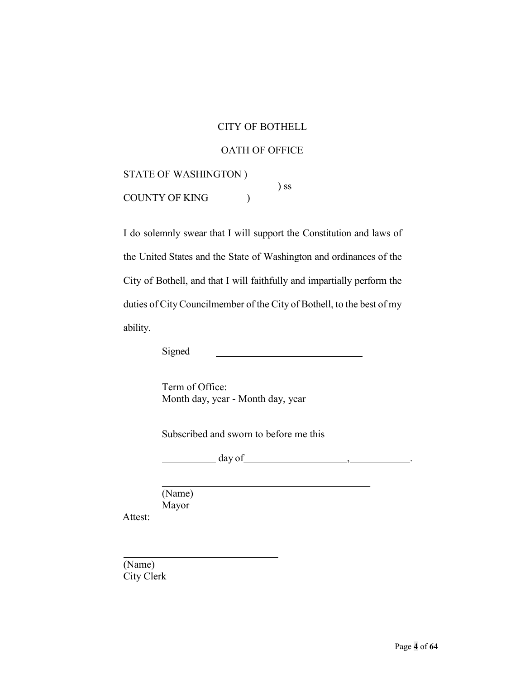#### CITY OF BOTHELL

#### <span id="page-3-0"></span>OATH OF OFFICE

STATE OF WASHINGTON ) COUNTY OF KING ( ) ss

I do solemnly swear that I will support the Constitution and laws of the United States and the State of Washington and ordinances of the City of Bothell, and that I will faithfully and impartially perform the duties of City Councilmember of the City of Bothell, to the best of my ability.

Signed

Term of Office: Month day, year - Month day, year

Subscribed and sworn to before me this

day of  $\qquad \qquad , \qquad \qquad .$ 

Attest: (Name) Mayor

(Name) City Clerk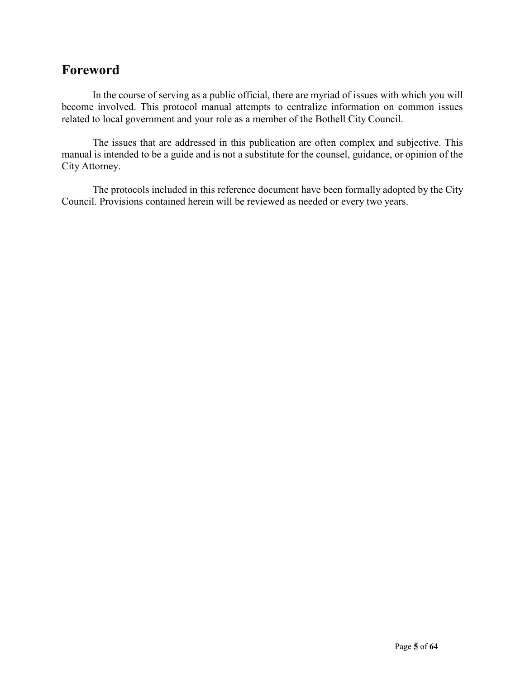## <span id="page-4-0"></span>**Foreword**

In the course of serving as a public official, there are myriad of issues with which you will become involved. This protocol manual attempts to centralize information on common issues related to local government and your role as a member of the Bothell City Council.

The issues that are addressed in this publication are often complex and subjective. This manual is intended to be a guide and is not a substitute for the counsel, guidance, or opinion of the City Attorney.

The protocols included in this reference document have been formally adopted by the City Council. Provisions contained herein will be reviewed as needed or every two years.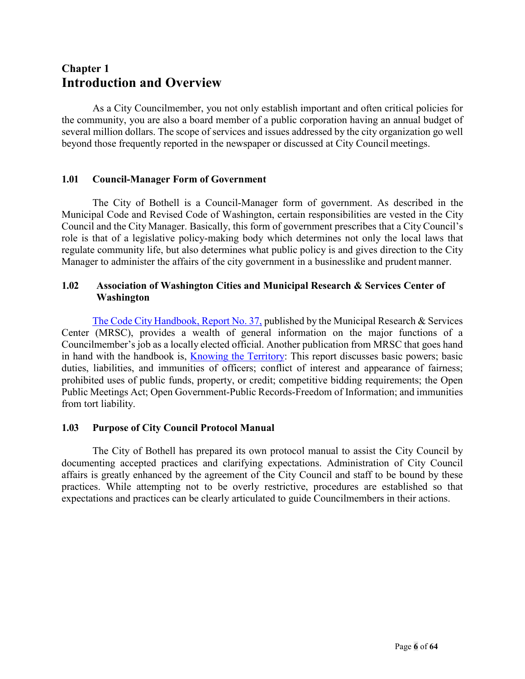## <span id="page-5-1"></span><span id="page-5-0"></span>**Chapter 1 Introduction and Overview**

As a City Councilmember, you not only establish important and often critical policies for the community, you are also a board member of a public corporation having an annual budget of several million dollars. The scope of services and issues addressed by the city organization go well beyond those frequently reported in the newspaper or discussed at City Council meetings.

#### <span id="page-5-2"></span>**1.01 Council-Manager Form of Government**

The City of Bothell is a Council-Manager form of government. As described in the Municipal Code and Revised Code of Washington, certain responsibilities are vested in the City Council and the City Manager. Basically, this form of government prescribes that a City Council's role is that of a legislative policy-making body which determines not only the local laws that regulate community life, but also determines what public policy is and gives direction to the City Manager to administer the affairs of the city government in a businesslike and prudent manner.

#### <span id="page-5-3"></span>**1.02 Association of Washington Cities and Municipal Research & Services Center of Washington**

The Code City [Handbook,](http://mrsc.org/getmedia/f96b74ab-a955-44be-8db2-8fbce16075ea/Code-City-Handbook.pdf.aspx?ext=.pdf) Report No. 37, published by the Municipal Research & Services Center (MRSC), provides a wealth of general information on the major functions of a Councilmember's job as a locally elected official. Another publication from MRSC that goes hand in hand with the handbook is, [Knowing the Territory:](http://mrsc.org/getmedia/1e641718-94a0-408b-b9d9-42b2e1d8180d/Knowing-The-Territory.pdf.aspx?ext=.pdf) This report discusses basic powers; basic duties, liabilities, and immunities of officers; conflict of interest and appearance of fairness; prohibited uses of public funds, property, or credit; competitive bidding requirements; the Open Public Meetings Act; Open Government-Public Records-Freedom of Information; and immunities from tort liability.

#### <span id="page-5-4"></span>**1.03 Purpose of City Council Protocol Manual**

The City of Bothell has prepared its own protocol manual to assist the City Council by documenting accepted practices and clarifying expectations. Administration of City Council affairs is greatly enhanced by the agreement of the City Council and staff to be bound by these practices. While attempting not to be overly restrictive, procedures are established so that expectations and practices can be clearly articulated to guide Councilmembers in their actions.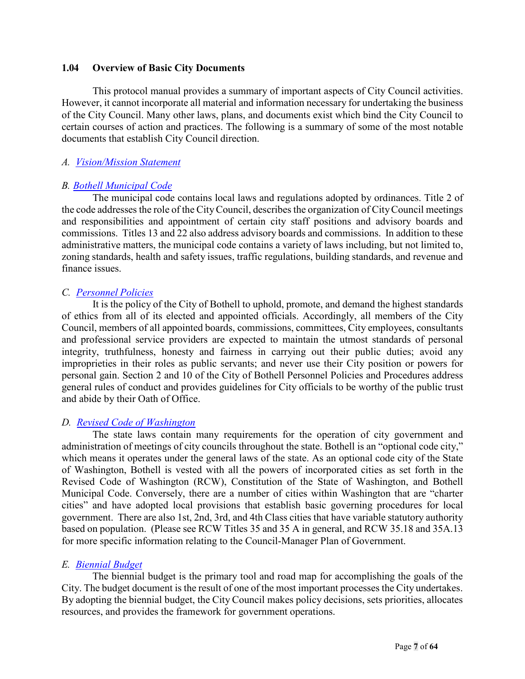#### <span id="page-6-0"></span>**1.04 Overview of Basic City Documents**

This protocol manual provides a summary of important aspects of City Council activities. However, it cannot incorporate all material and information necessary for undertaking the business of the City Council. Many other laws, plans, and documents exist which bind the City Council to certain courses of action and practices. The following is a summary of some of the most notable documents that establish City Council direction.

#### *A. [Vision/Mission Statement](http://www.bothellwa.gov/DocumentCenter/View/197/Vision-Statement-PDF?bidId=)*

#### *B. [Bothell Municipal](http://www.codepublishing.com/WA/Bothell/) Code*

The municipal code contains local laws and regulations adopted by ordinances. Title 2 of the code addresses the role of the CityCouncil, describes the organization of CityCouncil meetings and responsibilities and appointment of certain city staff positions and advisory boards and commissions. Titles 13 and 22 also address advisory boards and commissions. In addition to these administrative matters, the municipal code contains a variety of laws including, but not limited to, zoning standards, health and safety issues, traffic regulations, building standards, and revenue and finance issues.

#### *C. [Personnel](http://www.bothellwa.gov/172/City-Personnel-Policies) Policies*

It is the policy of the City of Bothell to uphold, promote, and demand the highest standards of ethics from all of its elected and appointed officials. Accordingly, all members of the City Council, members of all appointed boards, commissions, committees, City employees, consultants and professional service providers are expected to maintain the utmost standards of personal integrity, truthfulness, honesty and fairness in carrying out their public duties; avoid any improprieties in their roles as public servants; and never use their City position or powers for personal gain. Section 2 and 10 of the City of Bothell Personnel Policies and Procedures address general rules of conduct and provides guidelines for City officials to be worthy of the public trust and abide by their Oath of Office.

#### *D. [Revised Code of Washington](http://apps.leg.wa.gov/rcw/)*

The state laws contain many requirements for the operation of city government and administration of meetings of city councils throughout the state. Bothell is an "optional code city," which means it operates under the general laws of the state. As an optional code city of the State of Washington, Bothell is vested with all the powers of incorporated cities as set forth in the Revised Code of Washington (RCW), Constitution of the State of Washington, and Bothell Municipal Code. Conversely, there are a number of cities within Washington that are "charter cities" and have adopted local provisions that establish basic governing procedures for local government. There are also 1st, 2nd, 3rd, and 4th Class cities that have variable statutory authority based on population. (Please see RCW Titles 35 and 35 A in general, and RCW 35.18 and 35A.13 for more specific information relating to the Council-Manager Plan of Government.

#### *E. [Biennial](http://www.bothellwa.gov/161/Budget) Budget*

The biennial budget is the primary tool and road map for accomplishing the goals of the City. The budget document is the result of one of the most important processes the City undertakes. By adopting the biennial budget, the City Council makes policy decisions, sets priorities, allocates resources, and provides the framework for government operations.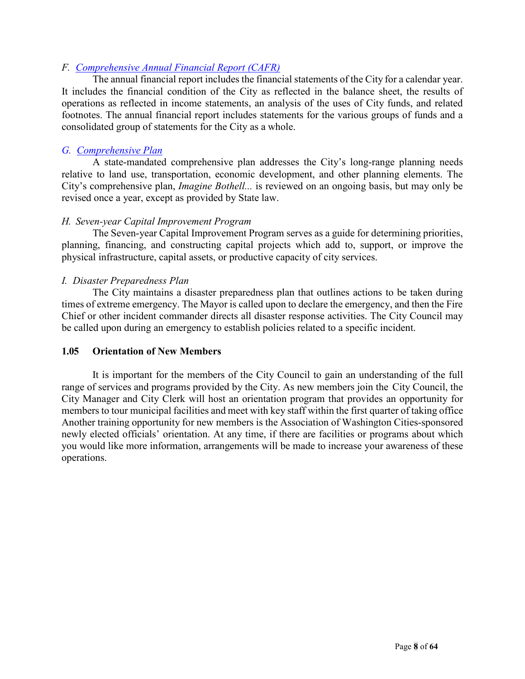#### *F. [Comprehensive Annual Financial](http://www.bothellwa.gov/169/Financial-Statements-CAFR) Report (CAFR)*

The annual financial report includes the financial statements of the City for a calendar year. It includes the financial condition of the City as reflected in the balance sheet, the results of operations as reflected in income statements, an analysis of the uses of City funds, and related footnotes. The annual financial report includes statements for the various groups of funds and a consolidated group of statements for the City as a whole.

#### *G. [Comprehensive](http://www.bothellwa.gov/305/Imagine-Bothell-Comprehensive-Plan) Plan*

A state-mandated comprehensive plan addresses the City's long-range planning needs relative to land use, transportation, economic development, and other planning elements. The City's comprehensive plan, *Imagine Bothell...* is reviewed on an ongoing basis, but may only be revised once a year, except as provided by State law.

#### *H. Seven-year Capital Improvement Program*

The Seven-year Capital Improvement Program serves as a guide for determining priorities, planning, financing, and constructing capital projects which add to, support, or improve the physical infrastructure, capital assets, or productive capacity of city services.

#### *I. Disaster Preparedness Plan*

The City maintains a disaster preparedness plan that outlines actions to be taken during times of extreme emergency. The Mayor is called upon to declare the emergency, and then the Fire Chief or other incident commander directs all disaster response activities. The City Council may be called upon during an emergency to establish policies related to a specific incident.

#### **1.05 Orientation of New Members**

It is important for the members of the City Council to gain an understanding of the full range of services and programs provided by the City. As new members join the City Council, the City Manager and City Clerk will host an orientation program that provides an opportunity for members to tour municipal facilities and meet with key staff within the first quarter of taking office Another training opportunity for new members is the Association of Washington Cities-sponsored newly elected officials' orientation. At any time, if there are facilities or programs about which you would like more information, arrangements will be made to increase your awareness of these operations.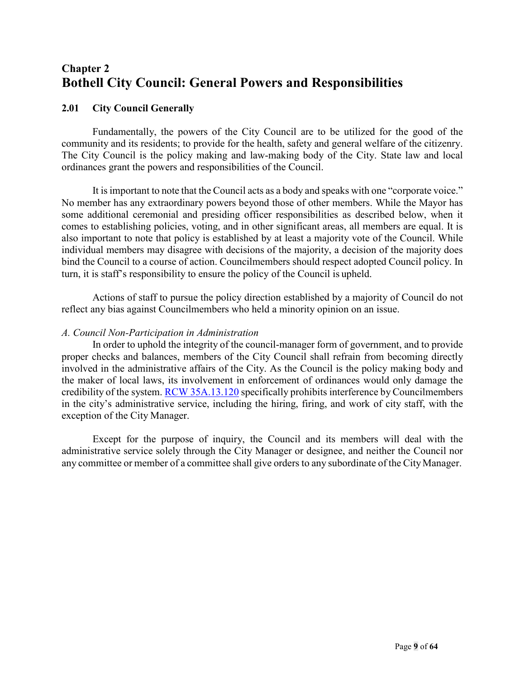## <span id="page-8-1"></span><span id="page-8-0"></span>**Chapter 2 Bothell City Council: General Powers and Responsibilities**

#### <span id="page-8-2"></span>**2.01 City Council Generally**

Fundamentally, the powers of the City Council are to be utilized for the good of the community and its residents; to provide for the health, safety and general welfare of the citizenry. The City Council is the policy making and law-making body of the City. State law and local ordinances grant the powers and responsibilities of the Council.

It isimportant to note that the Council acts as a body and speaks with one "corporate voice." No member has any extraordinary powers beyond those of other members. While the Mayor has some additional ceremonial and presiding officer responsibilities as described below, when it comes to establishing policies, voting, and in other significant areas, all members are equal. It is also important to note that policy is established by at least a majority vote of the Council. While individual members may disagree with decisions of the majority, a decision of the majority does bind the Council to a course of action. Councilmembers should respect adopted Council policy. In turn, it is staff's responsibility to ensure the policy of the Council is upheld.

Actions of staff to pursue the policy direction established by a majority of Council do not reflect any bias against Councilmembers who held a minority opinion on an issue.

#### *A. Council Non-Participation in Administration*

In order to uphold the integrity of the council-manager form of government, and to provide proper checks and balances, members of the City Council shall refrain from becoming directly involved in the administrative affairs of the City. As the Council is the policy making body and the maker of local laws, its involvement in enforcement of ordinances would only damage the credibility of the system. RCW [35A.13.120](http://apps.leg.wa.gov/RCW/default.aspx?Cite=35A.13.120) specifically prohibits interference by Councilmembers in the city's administrative service, including the hiring, firing, and work of city staff, with the exception of the City Manager.

Except for the purpose of inquiry, the Council and its members will deal with the administrative service solely through the City Manager or designee, and neither the Council nor any committee or member of a committee shall give orders to any subordinate of the CityManager.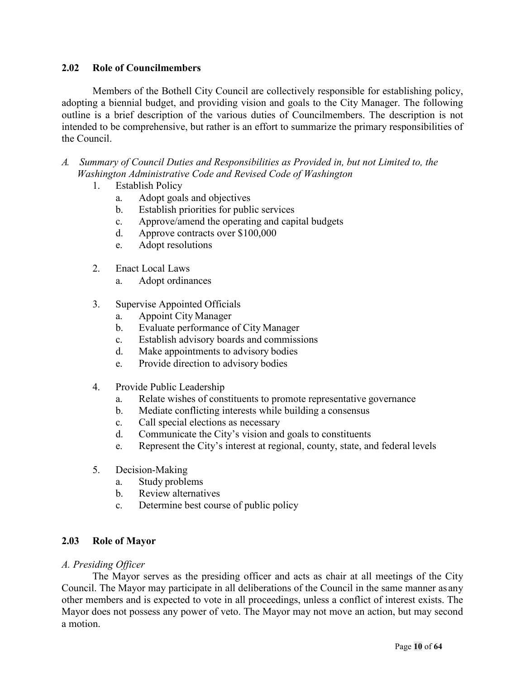#### **2.02 Role of Councilmembers**

Members of the Bothell City Council are collectively responsible for establishing policy, adopting a biennial budget, and providing vision and goals to the City Manager. The following outline is a brief description of the various duties of Councilmembers. The description is not intended to be comprehensive, but rather is an effort to summarize the primary responsibilities of the Council.

- *A. Summary of Council Duties and Responsibilities as Provided in, but not Limited to, the Washington Administrative Code and Revised Code of Washington*
	- 1. Establish Policy
		- a. Adopt goals and objectives
		- b. Establish priorities for public services
		- c. Approve/amend the operating and capital budgets
		- d. Approve contracts over \$100,000
		- e. Adopt resolutions
	- 2. Enact Local Laws
		- a. Adopt ordinances
	- 3. Supervise Appointed Officials
		- a. Appoint City Manager
		- b. Evaluate performance of City Manager
		- c. Establish advisory boards and commissions
		- d. Make appointments to advisory bodies
		- e. Provide direction to advisory bodies
	- 4. Provide Public Leadership
		- a. Relate wishes of constituents to promote representative governance
		- b. Mediate conflicting interests while building a consensus
		- c. Call special elections as necessary
		- d. Communicate the City's vision and goals to constituents
		- e. Represent the City's interest at regional, county, state, and federal levels
	- 5. Decision-Making
		- a. Study problems
		- b. Review alternatives
		- c. Determine best course of public policy

#### <span id="page-9-0"></span>**2.03 Role of Mayor**

#### *A. Presiding Officer*

The Mayor serves as the presiding officer and acts as chair at all meetings of the City Council. The Mayor may participate in all deliberations of the Council in the same manner as any other members and is expected to vote in all proceedings, unless a conflict of interest exists. The Mayor does not possess any power of veto. The Mayor may not move an action, but may second a motion.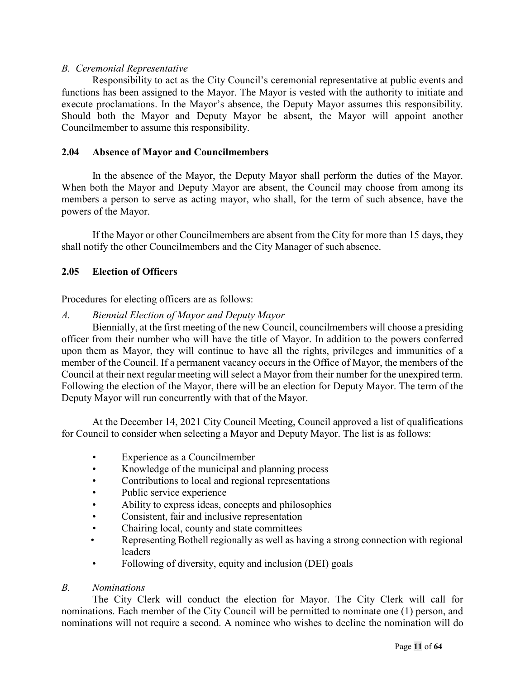#### *B. Ceremonial Representative*

Responsibility to act as the City Council's ceremonial representative at public events and functions has been assigned to the Mayor. The Mayor is vested with the authority to initiate and execute proclamations. In the Mayor's absence, the Deputy Mayor assumes this responsibility. Should both the Mayor and Deputy Mayor be absent, the Mayor will appoint another Councilmember to assume this responsibility.

#### <span id="page-10-0"></span>**2.04 Absence of Mayor and Councilmembers**

In the absence of the Mayor, the Deputy Mayor shall perform the duties of the Mayor. When both the Mayor and Deputy Mayor are absent, the Council may choose from among its members a person to serve as acting mayor, who shall, for the term of such absence, have the powers of the Mayor.

If the Mayor or other Councilmembers are absent from the City for more than 15 days, they shall notify the other Councilmembers and the City Manager of such absence.

#### <span id="page-10-1"></span>**2.05 Election of Officers**

Procedures for electing officers are as follows:

#### *A. Biennial Election of Mayor and Deputy Mayor*

Biennially, at the first meeting of the new Council, councilmembers will choose a presiding officer from their number who will have the title of Mayor. In addition to the powers conferred upon them as Mayor, they will continue to have all the rights, privileges and immunities of a member of the Council. If a permanent vacancy occurs in the Office of Mayor, the members of the Council at their next regular meeting will select a Mayor from their number for the unexpired term. Following the election of the Mayor, there will be an election for Deputy Mayor. The term of the Deputy Mayor will run concurrently with that of the Mayor.

At the December 14, 2021 City Council Meeting, Council approved a list of qualifications for Council to consider when selecting a Mayor and Deputy Mayor. The list is as follows:

- Experience as a Councilmember
- Knowledge of the municipal and planning process
- Contributions to local and regional representations
- Public service experience
- Ability to express ideas, concepts and philosophies
- Consistent, fair and inclusive representation
- Chairing local, county and state committees
- Representing Bothell regionally as well as having a strong connection with regional leaders
- Following of diversity, equity and inclusion (DEI) goals

#### *B. Nominations*

The City Clerk will conduct the election for Mayor. The City Clerk will call for nominations. Each member of the City Council will be permitted to nominate one (1) person, and nominations will not require a second. A nominee who wishes to decline the nomination will do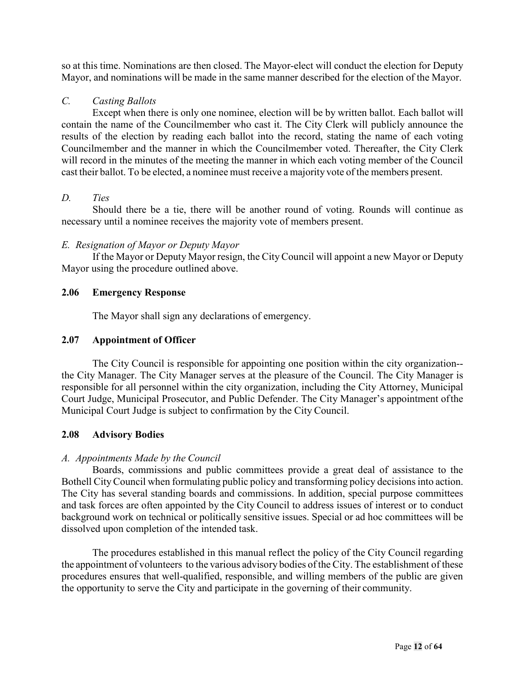so at this time. Nominations are then closed. The Mayor-elect will conduct the election for Deputy Mayor, and nominations will be made in the same manner described for the election of the Mayor.

#### *C. Casting Ballots*

Except when there is only one nominee, election will be by written ballot. Each ballot will contain the name of the Councilmember who cast it. The City Clerk will publicly announce the results of the election by reading each ballot into the record, stating the name of each voting Councilmember and the manner in which the Councilmember voted. Thereafter, the City Clerk will record in the minutes of the meeting the manner in which each voting member of the Council cast their ballot. To be elected, a nominee must receive a majority vote of the members present.

#### *D. Ties*

Should there be a tie, there will be another round of voting. Rounds will continue as necessary until a nominee receives the majority vote of members present.

#### *E. Resignation of Mayor or Deputy Mayor*

If the Mayor or Deputy Mayor resign, the CityCouncil will appoint a new Mayor or Deputy Mayor using the procedure outlined above.

#### <span id="page-11-0"></span>**2.06 Emergency Response**

The Mayor shall sign any declarations of emergency.

#### <span id="page-11-1"></span>**2.07 Appointment of Officer**

The City Council is responsible for appointing one position within the city organization- the City Manager. The City Manager serves at the pleasure of the Council. The City Manager is responsible for all personnel within the city organization, including the City Attorney, Municipal Court Judge, Municipal Prosecutor, and Public Defender. The City Manager's appointment ofthe Municipal Court Judge is subject to confirmation by the City Council.

#### <span id="page-11-2"></span>**2.08 Advisory Bodies**

#### *A. Appointments Made by the Council*

Boards, commissions and public committees provide a great deal of assistance to the Bothell City Council when formulating public policy and transforming policy decisions into action. The City has several standing boards and commissions. In addition, special purpose committees and task forces are often appointed by the City Council to address issues of interest or to conduct background work on technical or politically sensitive issues. Special or ad hoc committees will be dissolved upon completion of the intended task.

The procedures established in this manual reflect the policy of the City Council regarding the appointment of volunteers to the various advisory bodies of the City. The establishment of these procedures ensures that well-qualified, responsible, and willing members of the public are given the opportunity to serve the City and participate in the governing of their community.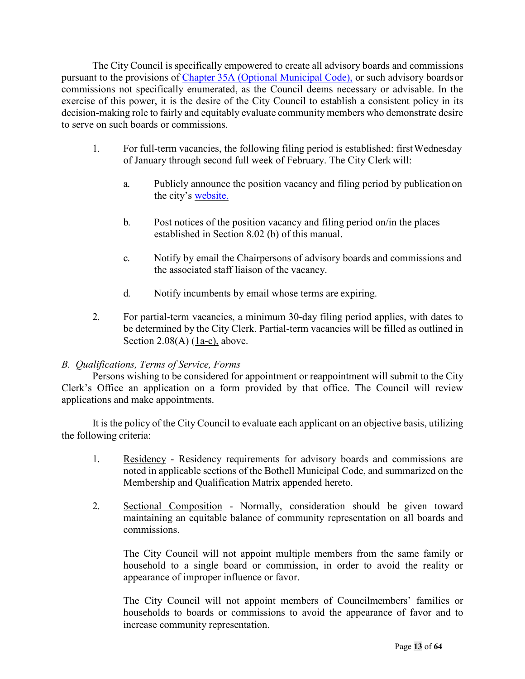The City Council is specifically empowered to create all advisory boards and commissions pursuant to the provisions of [Chapter 35A \(Optional Municipal Code\),](http://apps.leg.wa.gov/RCW/default.aspx?cite=35A) or such advisory boardsor commissions not specifically enumerated, as the Council deems necessary or advisable. In the exercise of this power, it is the desire of the City Council to establish a consistent policy in its decision-making role to fairly and equitably evaluate community members who demonstrate desire to serve on such boards or commissions.

- 1. For full-term vacancies, the following filing period is established: firstWednesday of January through second full week of February. The City Clerk will:
	- a. Publicly announce the position vacancy and filing period by publication on the city's [website.](http://www.bothellwa.gov/)
	- b. Post notices of the position vacancy and filing period on/in the places established in Section 8.02 (b) of this manual.
	- c. Notify by email the Chairpersons of advisory boards and commissions and the associated staff liaison of the vacancy.
	- d. Notify incumbents by email whose terms are expiring.
- 2. For partial-term vacancies, a minimum 30-day filing period applies, with dates to be determined by the City Clerk. Partial-term vacancies will be filled as outlined in Section  $2.08(A)$  (1a-c), above.

#### *B. Qualifications, Terms of Service, Forms*

Persons wishing to be considered for appointment or reappointment will submit to the City Clerk's Office an application on a form provided by that office. The Council will review applications and make appointments.

It is the policy of the City Council to evaluate each applicant on an objective basis, utilizing the following criteria:

- 1. Residency Residency requirements for advisory boards and commissions are noted in applicable sections of the Bothell Municipal Code, and summarized on the Membership and Qualification Matrix appended hereto.
- 2. Sectional Composition Normally, consideration should be given toward maintaining an equitable balance of community representation on all boards and commissions.

The City Council will not appoint multiple members from the same family or household to a single board or commission, in order to avoid the reality or appearance of improper influence or favor.

The City Council will not appoint members of Councilmembers' families or households to boards or commissions to avoid the appearance of favor and to increase community representation.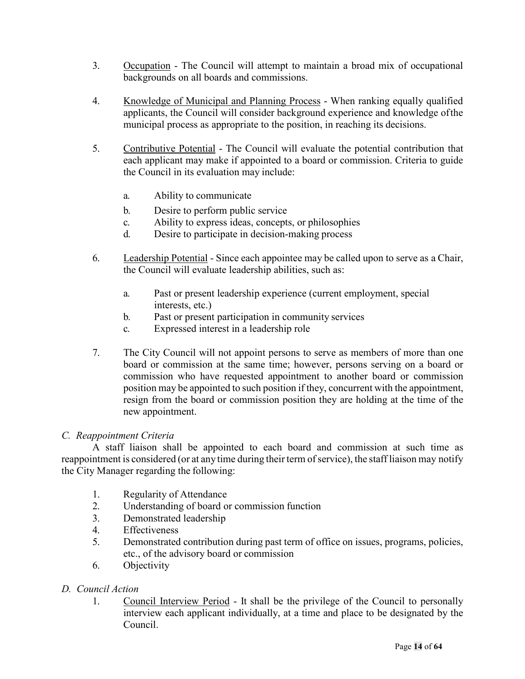- 3. Occupation The Council will attempt to maintain a broad mix of occupational backgrounds on all boards and commissions.
- 4. Knowledge of Municipal and Planning Process When ranking equally qualified applicants, the Council will consider background experience and knowledge ofthe municipal process as appropriate to the position, in reaching its decisions.
- 5. Contributive Potential The Council will evaluate the potential contribution that each applicant may make if appointed to a board or commission. Criteria to guide the Council in its evaluation may include:
	- a. Ability to communicate
	- b. Desire to perform public service
	- c. Ability to express ideas, concepts, or philosophies
	- d. Desire to participate in decision-making process
- 6. Leadership Potential Since each appointee may be called upon to serve as a Chair, the Council will evaluate leadership abilities, such as:
	- a. Past or present leadership experience (current employment, special interests, etc.)
	- b. Past or present participation in community services
	- c. Expressed interest in a leadership role
- 7. The City Council will not appoint persons to serve as members of more than one board or commission at the same time; however, persons serving on a board or commission who have requested appointment to another board or commission position may be appointed to such position if they, concurrent with the appointment, resign from the board or commission position they are holding at the time of the new appointment.

#### *C. Reappointment Criteria*

A staff liaison shall be appointed to each board and commission at such time as reappointment is considered (or at any time during their term of service), the staff liaison may notify the City Manager regarding the following:

- 1. Regularity of Attendance
- 2. Understanding of board or commission function
- 3. Demonstrated leadership
- 4. Effectiveness
- 5. Demonstrated contribution during past term of office on issues, programs, policies, etc., of the advisory board or commission
- 6. Objectivity

#### *D. Council Action*

1. Council Interview Period - It shall be the privilege of the Council to personally interview each applicant individually, at a time and place to be designated by the Council.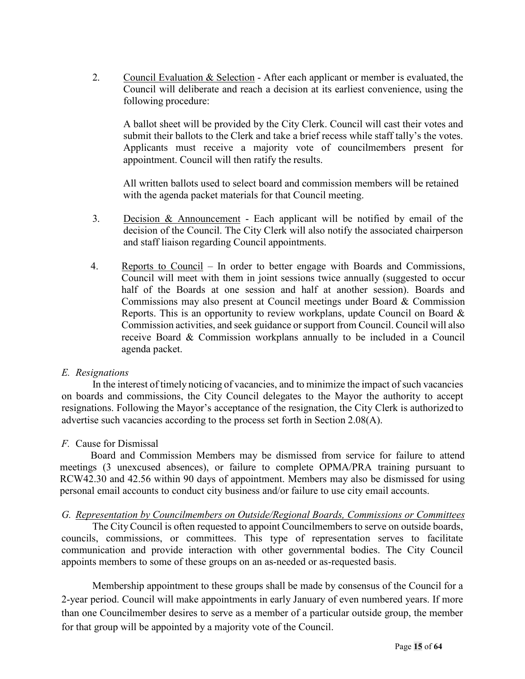2. Council Evaluation & Selection - After each applicant or member is evaluated, the Council will deliberate and reach a decision at its earliest convenience, using the following procedure:

A ballot sheet will be provided by the City Clerk. Council will cast their votes and submit their ballots to the Clerk and take a brief recess while staff tally's the votes. Applicants must receive a majority vote of councilmembers present for appointment. Council will then ratify the results.

All written ballots used to select board and commission members will be retained with the agenda packet materials for that Council meeting.

- 3. Decision & Announcement Each applicant will be notified by email of the decision of the Council. The City Clerk will also notify the associated chairperson and staff liaison regarding Council appointments.
- 4. Reports to Council In order to better engage with Boards and Commissions, Council will meet with them in joint sessions twice annually (suggested to occur half of the Boards at one session and half at another session). Boards and Commissions may also present at Council meetings under Board & Commission Reports. This is an opportunity to review workplans, update Council on Board & Commission activities, and seek guidance or support from Council. Council will also receive Board & Commission workplans annually to be included in a Council agenda packet.

#### *E. Resignations*

In the interest of timely noticing of vacancies, and to minimize the impact of such vacancies on boards and commissions, the City Council delegates to the Mayor the authority to accept resignations. Following the Mayor's acceptance of the resignation, the City Clerk is authorized to advertise such vacancies according to the process set forth in Section 2.08(A).

#### *F.* Cause for Dismissal

Board and Commission Members may be dismissed from service for failure to attend meetings (3 unexcused absences), or failure to complete OPMA/PRA training pursuant to RCW42.30 and 42.56 within 90 days of appointment. Members may also be dismissed for using personal email accounts to conduct city business and/or failure to use city email accounts.

#### *G. Representation by Councilmembers on Outside/Regional Boards, Commissions or Committees*

The CityCouncil is often requested to appoint Councilmembers to serve on outside boards, councils, commissions, or committees. This type of representation serves to facilitate communication and provide interaction with other governmental bodies. The City Council appoints members to some of these groups on an as-needed or as-requested basis.

Membership appointment to these groups shall be made by consensus of the Council for a 2-year period. Council will make appointments in early January of even numbered years. If more than one Councilmember desires to serve as a member of a particular outside group, the member for that group will be appointed by a majority vote of the Council.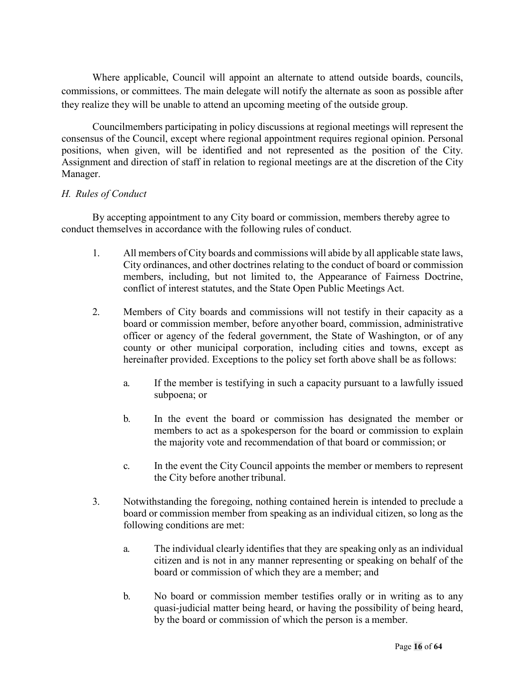Where applicable, Council will appoint an alternate to attend outside boards, councils, commissions, or committees. The main delegate will notify the alternate as soon as possible after they realize they will be unable to attend an upcoming meeting of the outside group.

Councilmembers participating in policy discussions at regional meetings will represent the consensus of the Council, except where regional appointment requires regional opinion. Personal positions, when given, will be identified and not represented as the position of the City. Assignment and direction of staff in relation to regional meetings are at the discretion of the City Manager.

#### *H. Rules of Conduct*

By accepting appointment to any City board or commission, members thereby agree to conduct themselves in accordance with the following rules of conduct.

- 1. All members of City boards and commissions will abide by all applicable state laws, City ordinances, and other doctrines relating to the conduct of board or commission members, including, but not limited to, the Appearance of Fairness Doctrine, conflict of interest statutes, and the State Open Public Meetings Act.
- 2. Members of City boards and commissions will not testify in their capacity as a board or commission member, before anyother board, commission, administrative officer or agency of the federal government, the State of Washington, or of any county or other municipal corporation, including cities and towns, except as hereinafter provided. Exceptions to the policy set forth above shall be as follows:
	- a. If the member is testifying in such a capacity pursuant to a lawfully issued subpoena; or
	- b. In the event the board or commission has designated the member or members to act as a spokesperson for the board or commission to explain the majority vote and recommendation of that board or commission; or
	- c. In the event the City Council appoints the member or members to represent the City before another tribunal.
- 3. Notwithstanding the foregoing, nothing contained herein is intended to preclude a board or commission member from speaking as an individual citizen, so long as the following conditions are met:
	- a. The individual clearly identifies that they are speaking only as an individual citizen and is not in any manner representing or speaking on behalf of the board or commission of which they are a member; and
	- b. No board or commission member testifies orally or in writing as to any quasi-judicial matter being heard, or having the possibility of being heard, by the board or commission of which the person is a member.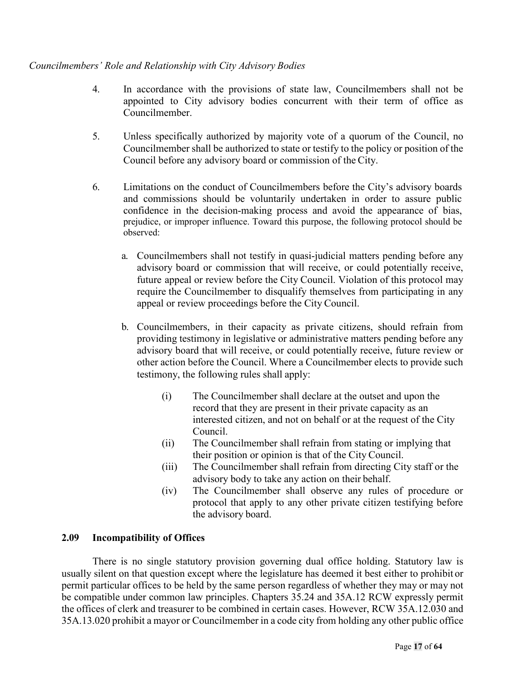#### *Councilmembers' Role and Relationship with City Advisory Bodies*

- 4. In accordance with the provisions of state law, Councilmembers shall not be appointed to City advisory bodies concurrent with their term of office as Councilmember.
- 5. Unless specifically authorized by majority vote of a quorum of the Council, no Councilmember shall be authorized to state or testify to the policy or position of the Council before any advisory board or commission of the City.
- <span id="page-16-1"></span>6. Limitations on the conduct of Councilmembers before the City's advisory boards and commissions should be voluntarily undertaken in order to assure public confidence in the decision-making process and avoid the appearance of bias, prejudice, or improper influence. Toward this purpose, the following protocol should be observed:
	- a. Councilmembers shall not testify in quasi-judicial matters pending before any advisory board or commission that will receive, or could potentially receive, future appeal or review before the City Council. Violation of this protocol may require the Councilmember to disqualify themselves from participating in any appeal or review proceedings before the City Council.
	- b. Councilmembers, in their capacity as private citizens, should refrain from providing testimony in legislative or administrative matters pending before any advisory board that will receive, or could potentially receive, future review or other action before the Council. Where a Councilmember elects to provide such testimony, the following rules shall apply:
		- (i) The Councilmember shall declare at the outset and upon the record that they are present in their private capacity as an interested citizen, and not on behalf or at the request of the City Council.
		- (ii) The Councilmember shall refrain from stating or implying that their position or opinion is that of the City Council.
		- (iii) The Councilmember shall refrain from directing City staff or the advisory body to take any action on their behalf.
		- (iv) The Councilmember shall observe any rules of procedure or protocol that apply to any other private citizen testifying before the advisory board.

#### <span id="page-16-0"></span>**2.09 Incompatibility of Offices**

There is no single statutory provision governing dual office holding. Statutory law is usually silent on that question except where the legislature has deemed it best either to prohibit or permit particular offices to be held by the same person regardless of whether they may or may not be compatible under common law principles. Chapters 35.24 and 35A.12 RCW expressly permit the offices of clerk and treasurer to be combined in certain cases. However, RCW 35A.12.030 and 35A.13.020 prohibit a mayor or Councilmember in a code city from holding any other public office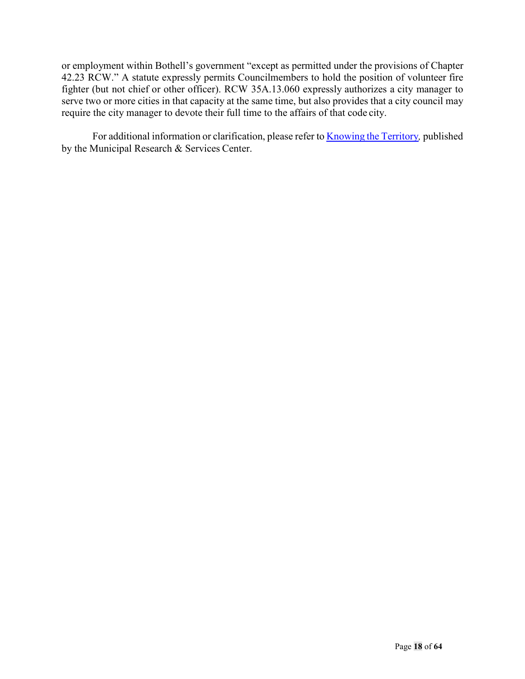or employment within Bothell's government "except as permitted under the provisions of Chapter 42.23 RCW." A statute expressly permits Councilmembers to hold the position of volunteer fire fighter (but not chief or other officer). RCW 35A.13.060 expressly authorizes a city manager to serve two or more cities in that capacity at the same time, but also provides that a city council may require the city manager to devote their full time to the affairs of that code city.

For additional information or clarification, please refer to **[Knowing](http://mrsc.org/getmedia/1e641718-94a0-408b-b9d9-42b2e1d8180d/Knowing-The-Territory.pdf.aspx?ext=.pdf) the Territory**, published by the Municipal Research & Services Center.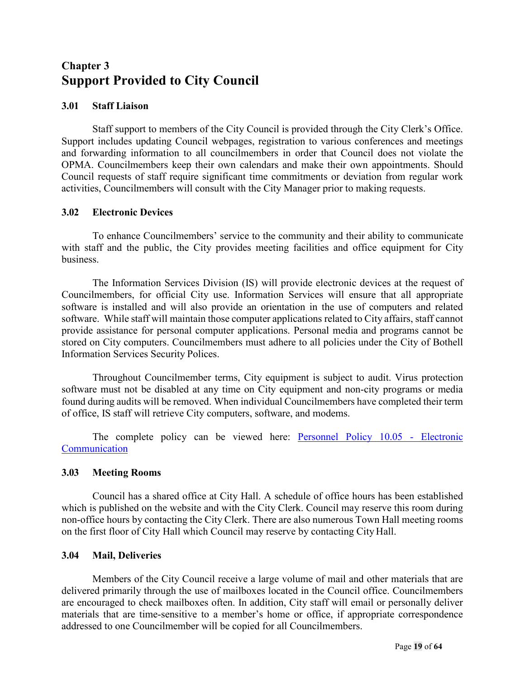## <span id="page-18-0"></span>**Chapter 3 Support Provided to City Council**

#### <span id="page-18-1"></span>**3.01 Staff Liaison**

Staff support to members of the City Council is provided through the City Clerk's Office. Support includes updating Council webpages, registration to various conferences and meetings and forwarding information to all councilmembers in order that Council does not violate the OPMA. Councilmembers keep their own calendars and make their own appointments. Should Council requests of staff require significant time commitments or deviation from regular work activities, Councilmembers will consult with the City Manager prior to making requests.

#### <span id="page-18-2"></span>**3.02 Electronic Devices**

To enhance Councilmembers' service to the community and their ability to communicate with staff and the public, the City provides meeting facilities and office equipment for City business.

The Information Services Division (IS) will provide electronic devices at the request of Councilmembers, for official City use. Information Services will ensure that all appropriate software is installed and will also provide an orientation in the use of computers and related software. While staff will maintain those computer applications related to City affairs, staff cannot provide assistance for personal computer applications. Personal media and programs cannot be stored on City computers. Councilmembers must adhere to all policies under the City of Bothell Information Services Security Polices.

Throughout Councilmember terms, City equipment is subject to audit. Virus protection software must not be disabled at any time on City equipment and non-city programs or media found during audits will be removed. When individual Councilmembers have completed their term of office, IS staff will retrieve City computers, software, and modems.

The complete policy can be viewed here: **Personnel Policy 10.05** - Electronic **[Communication](http://www.bothellwa.gov/DocumentCenter/Home/View/134)** 

#### <span id="page-18-3"></span>**3.03 Meeting Rooms**

Council has a shared office at City Hall. A schedule of office hours has been established which is published on the website and with the City Clerk. Council may reserve this room during non-office hours by contacting the City Clerk. There are also numerous Town Hall meeting rooms on the first floor of City Hall which Council may reserve by contacting City Hall.

#### <span id="page-18-4"></span>**3.04 Mail, Deliveries**

<span id="page-18-5"></span>Members of the City Council receive a large volume of mail and other materials that are delivered primarily through the use of mailboxes located in the Council office. Councilmembers are encouraged to check mailboxes often. In addition, City staff will email or personally deliver materials that are time-sensitive to a member's home or office, if appropriate correspondence addressed to one Councilmember will be copied for all Councilmembers.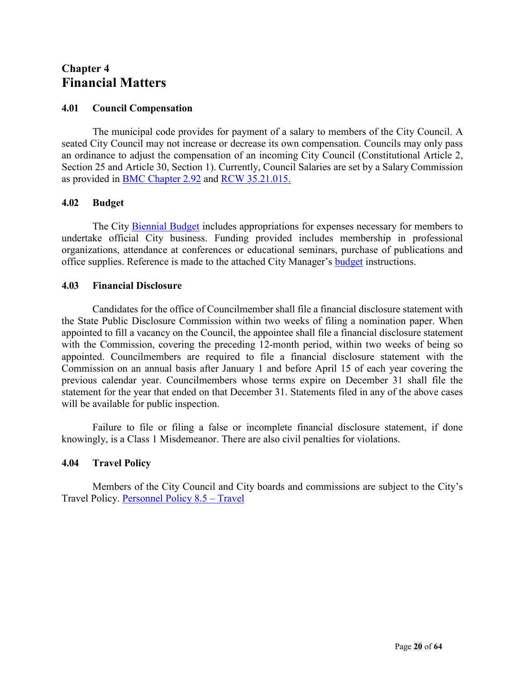## <span id="page-19-0"></span>**Chapter 4 Financial Matters**

#### <span id="page-19-1"></span>**4.01 Council Compensation**

The municipal code provides for payment of a salary to members of the City Council. A seated City Council may not increase or decrease its own compensation. Councils may only pass an ordinance to adjust the compensation of an incoming City Council (Constitutional Article 2, Section 25 and Article 30, Section 1). Currently, Council Salaries are set by a Salary Commission as provided in [BMC Chapter 2.92](https://bothell.municipal.codes/BMC/2.92) and RCW [35.21.015.](http://apps.leg.wa.gov/RCW/default.aspx?cite=35.21.015)

#### <span id="page-19-2"></span>**4.02 Budget**

The City [Biennial Budget](http://www.ci.bothell.wa.us/161/Budget) includes appropriations for expenses necessary for members to undertake official City business. Funding provided includes membership in professional organizations, attendance at conferences or educational seminars, purchase of publications and office supplies. Reference is made to the attached City Manager's [budget](http://www.ci.bothell.wa.us/161/Budget) instructions.

#### <span id="page-19-3"></span>**4.03 Financial Disclosure**

Candidates for the office of Councilmember shall file a financial disclosure statement with the State Public Disclosure Commission within two weeks of filing a nomination paper. When appointed to fill a vacancy on the Council, the appointee shall file a financial disclosure statement with the Commission, covering the preceding 12-month period, within two weeks of being so appointed. Councilmembers are required to file a financial disclosure statement with the Commission on an annual basis after January 1 and before April 15 of each year covering the previous calendar year. Councilmembers whose terms expire on December 31 shall file the statement for the year that ended on that December 31. Statements filed in any of the above cases will be available for public inspection.

Failure to file or filing a false or incomplete financial disclosure statement, if done knowingly, is a Class 1 Misdemeanor. There are also civil penalties for violations.

#### <span id="page-19-4"></span>**4.04 Travel Policy**

Members of the City Council and City boards and commissions are subject to the City's Travel Policy. [Personnel Policy 8.5 –](http://www.bothellwa.gov/DocumentCenter/Home/View/127) Travel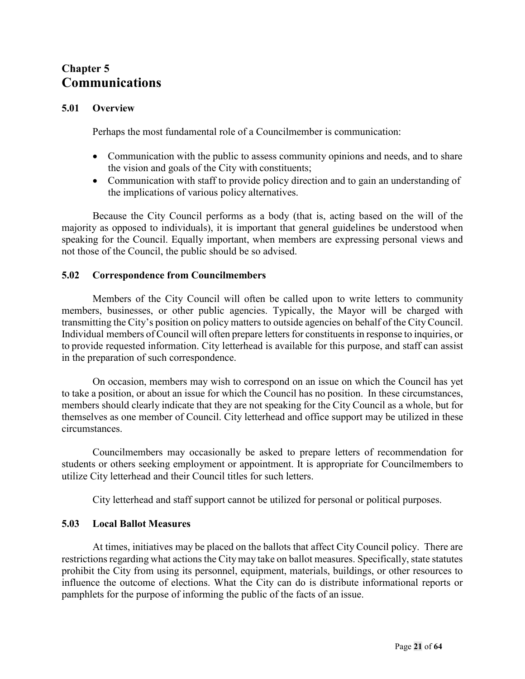## <span id="page-20-1"></span><span id="page-20-0"></span>**Chapter 5 Communications**

#### <span id="page-20-2"></span>**5.01 Overview**

Perhaps the most fundamental role of a Councilmember is communication:

- Communication with the public to assess community opinions and needs, and to share the vision and goals of the City with constituents;
- Communication with staff to provide policy direction and to gain an understanding of the implications of various policy alternatives.

Because the City Council performs as a body (that is, acting based on the will of the majority as opposed to individuals), it is important that general guidelines be understood when speaking for the Council. Equally important, when members are expressing personal views and not those of the Council, the public should be so advised.

#### <span id="page-20-3"></span>**5.02 Correspondence from Councilmembers**

Members of the City Council will often be called upon to write letters to community members, businesses, or other public agencies. Typically, the Mayor will be charged with transmitting the City's position on policy matters to outside agencies on behalf of the City Council. Individual members of Council will often prepare letters for constituents in response to inquiries, or to provide requested information. City letterhead is available for this purpose, and staff can assist in the preparation of such correspondence.

On occasion, members may wish to correspond on an issue on which the Council has yet to take a position, or about an issue for which the Council has no position. In these circumstances, members should clearly indicate that they are not speaking for the City Council as a whole, but for themselves as one member of Council. City letterhead and office support may be utilized in these circumstances.

Councilmembers may occasionally be asked to prepare letters of recommendation for students or others seeking employment or appointment. It is appropriate for Councilmembers to utilize City letterhead and their Council titles for such letters.

City letterhead and staff support cannot be utilized for personal or political purposes.

#### <span id="page-20-4"></span>**5.03 Local Ballot Measures**

At times, initiatives may be placed on the ballots that affect City Council policy. There are restrictions regarding what actions the City may take on ballot measures. Specifically, state statutes prohibit the City from using its personnel, equipment, materials, buildings, or other resources to influence the outcome of elections. What the City can do is distribute informational reports or pamphlets for the purpose of informing the public of the facts of an issue.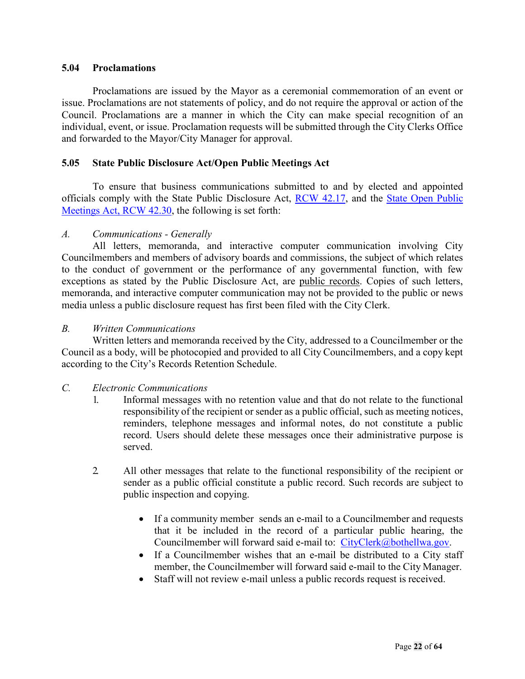#### **5.04 Proclamations**

Proclamations are issued by the Mayor as a ceremonial commemoration of an event or issue. Proclamations are not statements of policy, and do not require the approval or action of the Council. Proclamations are a manner in which the City can make special recognition of an individual, event, or issue. Proclamation requests will be submitted through the City Clerks Office and forwarded to the Mayor/City Manager for approval.

#### <span id="page-21-0"></span>**5.05 State Public Disclosure Act/Open Public Meetings Act**

To ensure that business communications submitted to and by elected and appointed officials comply with the State Public Disclosure Act, [RCW 42.17,](http://apps.leg.wa.gov/RCW/dispo.aspx?cite=42.17) and the [State Open Public](http://app.leg.wa.gov/RCW/default.aspx?cite=42.30) [Meetings Act, RCW 42.30,](http://app.leg.wa.gov/RCW/default.aspx?cite=42.30) the following is set forth:

#### *A. Communications - Generally*

All letters, memoranda, and interactive computer communication involving City Councilmembers and members of advisory boards and commissions, the subject of which relates to the conduct of government or the performance of any governmental function, with few exceptions as stated by the Public Disclosure Act, are public records. Copies of such letters, memoranda, and interactive computer communication may not be provided to the public or news media unless a public disclosure request has first been filed with the City Clerk.

#### *B. Written Communications*

Written letters and memoranda received by the City, addressed to a Councilmember or the Council as a body, will be photocopied and provided to all City Councilmembers, and a copy kept according to the City's Records Retention Schedule.

#### *C. Electronic Communications*

- 1. Informal messages with no retention value and that do not relate to the functional responsibility of the recipient or sender as a public official, such as meeting notices, reminders, telephone messages and informal notes, do not constitute a public record. Users should delete these messages once their administrative purpose is served.
- 2. All other messages that relate to the functional responsibility of the recipient or sender as a public official constitute a public record. Such records are subject to public inspection and copying.
	- If a community member sends an e-mail to a Councilmember and requests that it be included in the record of a particular public hearing, the Councilmember will forward said e-mail to: [CityClerk@bothellwa.gov.](mailto:CityClerk@bothellwa.gov)
	- If a Councilmember wishes that an e-mail be distributed to a City staff member, the Councilmember will forward said e-mail to the City Manager.
	- Staff will not review e-mail unless a public records request is received.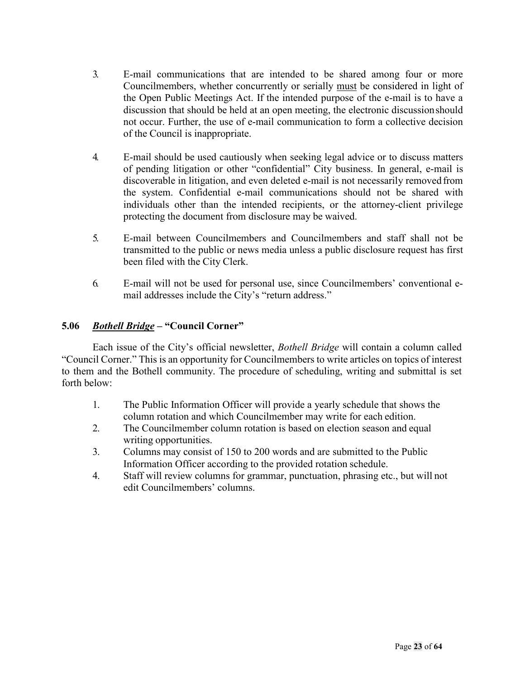- 3. E-mail communications that are intended to be shared among four or more Councilmembers, whether concurrently or serially must be considered in light of the Open Public Meetings Act. If the intended purpose of the e-mail is to have a discussion that should be held at an open meeting, the electronic discussionshould not occur. Further, the use of e-mail communication to form a collective decision of the Council is inappropriate.
- 4. E-mail should be used cautiously when seeking legal advice or to discuss matters of pending litigation or other "confidential" City business. In general, e-mail is discoverable in litigation, and even deleted e-mail is not necessarily removed from the system. Confidential e-mail communications should not be shared with individuals other than the intended recipients, or the attorney-client privilege protecting the document from disclosure may be waived.
- 5. E-mail between Councilmembers and Councilmembers and staff shall not be transmitted to the public or news media unless a public disclosure request has first been filed with the City Clerk.
- 6. E-mail will not be used for personal use, since Councilmembers' conventional email addresses include the City's "return address."

#### <span id="page-22-0"></span>**5.06** *Bothell Bridge* **– "Council Corner"**

Each issue of the City's official newsletter, *Bothell Bridge* will contain a column called "Council Corner." This is an opportunity for Councilmembers to write articles on topics of interest to them and the Bothell community. The procedure of scheduling, writing and submittal is set forth below:

- 1. The Public Information Officer will provide a yearly schedule that shows the column rotation and which Councilmember may write for each edition.
- 2. The Councilmember column rotation is based on election season and equal writing opportunities.
- 3. Columns may consist of 150 to 200 words and are submitted to the Public Information Officer according to the provided rotation schedule.
- 4. Staff will review columns for grammar, punctuation, phrasing etc., but will not edit Councilmembers' columns.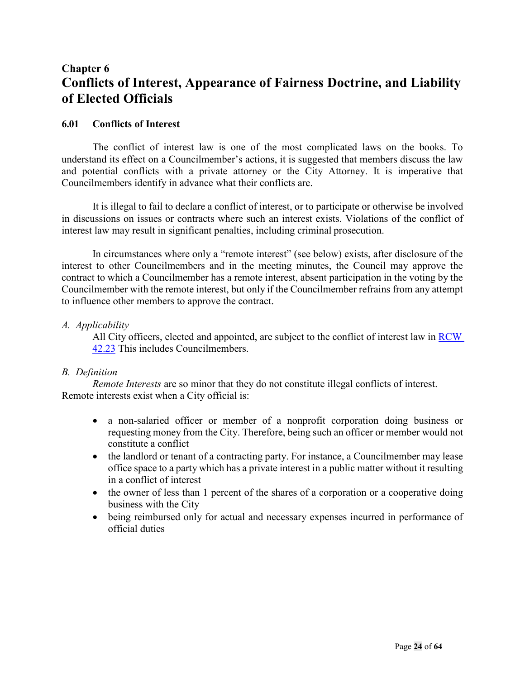## <span id="page-23-1"></span><span id="page-23-0"></span>**Chapter 6 Conflicts of Interest, Appearance of Fairness Doctrine, and Liability of Elected Officials**

#### <span id="page-23-2"></span>**6.01 Conflicts of Interest**

The conflict of interest law is one of the most complicated laws on the books. To understand its effect on a Councilmember's actions, it is suggested that members discuss the law and potential conflicts with a private attorney or the City Attorney. It is imperative that Councilmembers identify in advance what their conflicts are.

It is illegal to fail to declare a conflict of interest, or to participate or otherwise be involved in discussions on issues or contracts where such an interest exists. Violations of the conflict of interest law may result in significant penalties, including criminal prosecution.

In circumstances where only a "remote interest" (see below) exists, after disclosure of the interest to other Councilmembers and in the meeting minutes, the Council may approve the contract to which a Councilmember has a remote interest, absent participation in the voting by the Councilmember with the remote interest, but only if the Councilmember refrains from any attempt to influence other members to approve the contract.

#### *A. Applicability*

All City officers, elected and appointed, are subject to the conflict of interest law in [RCW](https://app.leg.wa.gov/RCW/default.aspx?cite=42.23)  [42.23](https://app.leg.wa.gov/RCW/default.aspx?cite=42.23) This includes Councilmembers.

#### *B. Definition*

*Remote Interests* are so minor that they do not constitute illegal conflicts of interest. Remote interests exist when a City official is:

- a non-salaried officer or member of a nonprofit corporation doing business or requesting money from the City. Therefore, being such an officer or member would not constitute a conflict
- the landlord or tenant of a contracting party. For instance, a Councilmember may lease office space to a party which has a private interest in a public matter without it resulting in a conflict of interest
- the owner of less than 1 percent of the shares of a corporation or a cooperative doing business with the City
- being reimbursed only for actual and necessary expenses incurred in performance of official duties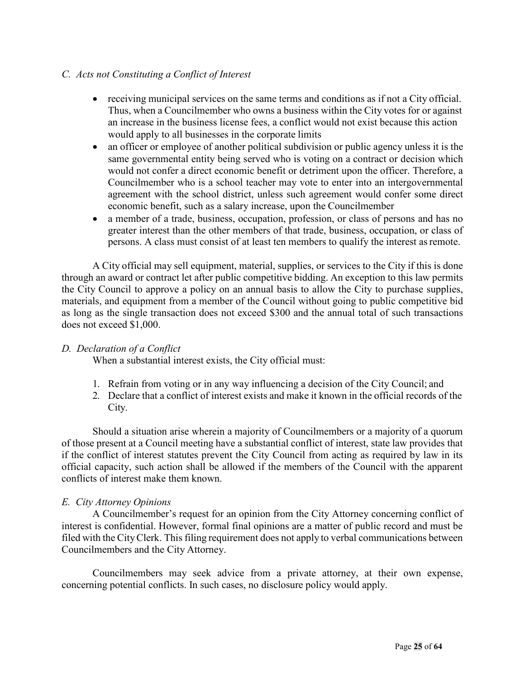#### *C. Acts not Constituting a Conflict of Interest*

- receiving municipal services on the same terms and conditions as if not a City official. Thus, when a Councilmember who owns a business within the City votes for or against an increase in the business license fees, a conflict would not exist because this action would apply to all businesses in the corporate limits
- an officer or employee of another political subdivision or public agency unless it is the same governmental entity being served who is voting on a contract or decision which would not confer a direct economic benefit or detriment upon the officer. Therefore, a Councilmember who is a school teacher may vote to enter into an intergovernmental agreement with the school district, unless such agreement would confer some direct economic benefit, such as a salary increase, upon the Councilmember
- a member of a trade, business, occupation, profession, or class of persons and has no greater interest than the other members of that trade, business, occupation, or class of persons. A class must consist of at least ten members to qualify the interest asremote.

A City official may sell equipment, material, supplies, or services to the City if this is done through an award or contract let after public competitive bidding. An exception to this law permits the City Council to approve a policy on an annual basis to allow the City to purchase supplies, materials, and equipment from a member of the Council without going to public competitive bid as long as the single transaction does not exceed \$300 and the annual total of such transactions does not exceed \$1,000.

#### *D. Declaration of a Conflict*

When a substantial interest exists, the City official must:

- 1. Refrain from voting or in any way influencing a decision of the City Council; and
- 2. Declare that a conflict of interest exists and make it known in the official records of the City.

Should a situation arise wherein a majority of Councilmembers or a majority of a quorum of those present at a Council meeting have a substantial conflict of interest, state law provides that if the conflict of interest statutes prevent the City Council from acting as required by law in its official capacity, such action shall be allowed if the members of the Council with the apparent conflicts of interest make them known.

#### *E. City Attorney Opinions*

A Councilmember's request for an opinion from the City Attorney concerning conflict of interest is confidential. However, formal final opinions are a matter of public record and must be filed with the City Clerk. This filing requirement does not apply to verbal communications between Councilmembers and the City Attorney.

Councilmembers may seek advice from a private attorney, at their own expense, concerning potential conflicts. In such cases, no disclosure policy would apply.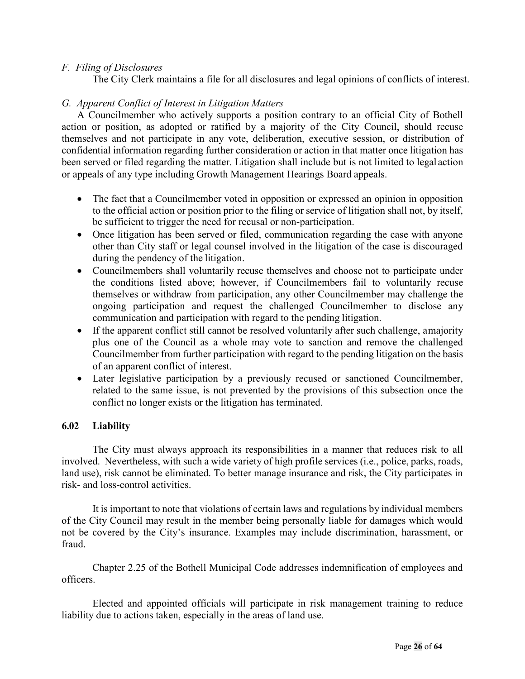#### *F. Filing of Disclosures*

The City Clerk maintains a file for all disclosures and legal opinions of conflicts of interest.

#### *G. Apparent Conflict of Interest in Litigation Matters*

A Councilmember who actively supports a position contrary to an official City of Bothell action or position, as adopted or ratified by a majority of the City Council, should recuse themselves and not participate in any vote, deliberation, executive session, or distribution of confidential information regarding further consideration or action in that matter once litigation has been served or filed regarding the matter. Litigation shall include but is not limited to legal action or appeals of any type including Growth Management Hearings Board appeals.

- The fact that a Councilmember voted in opposition or expressed an opinion in opposition to the official action or position prior to the filing or service of litigation shall not, by itself, be sufficient to trigger the need for recusal or non-participation.
- Once litigation has been served or filed, communication regarding the case with anyone other than City staff or legal counsel involved in the litigation of the case is discouraged during the pendency of the litigation.
- Councilmembers shall voluntarily recuse themselves and choose not to participate under the conditions listed above; however, if Councilmembers fail to voluntarily recuse themselves or withdraw from participation, any other Councilmember may challenge the ongoing participation and request the challenged Councilmember to disclose any communication and participation with regard to the pending litigation.
- If the apparent conflict still cannot be resolved voluntarily after such challenge, amajority plus one of the Council as a whole may vote to sanction and remove the challenged Councilmember from further participation with regard to the pending litigation on the basis of an apparent conflict of interest.
- Later legislative participation by a previously recused or sanctioned Councilmember, related to the same issue, is not prevented by the provisions of this subsection once the conflict no longer exists or the litigation has terminated.

#### <span id="page-25-0"></span>**6.02 Liability**

The City must always approach its responsibilities in a manner that reduces risk to all involved. Nevertheless, with such a wide variety of high profile services (i.e., police, parks, roads, land use), risk cannot be eliminated. To better manage insurance and risk, the City participates in risk- and loss-control activities.

It is important to note that violations of certain laws and regulations by individual members of the City Council may result in the member being personally liable for damages which would not be covered by the City's insurance. Examples may include discrimination, harassment, or fraud.

Chapter 2.25 of the Bothell Municipal Code addresses indemnification of employees and officers.

Elected and appointed officials will participate in risk management training to reduce liability due to actions taken, especially in the areas of land use.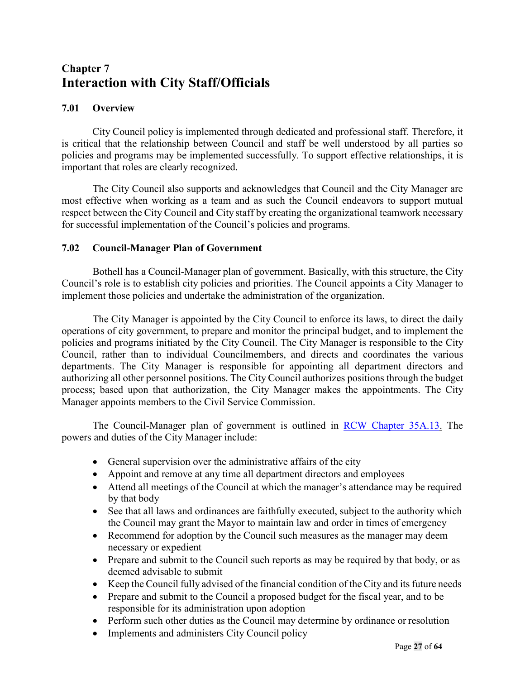## <span id="page-26-1"></span><span id="page-26-0"></span>**Chapter 7 Interaction with City Staff/Officials**

#### <span id="page-26-2"></span>**7.01 Overview**

City Council policy is implemented through dedicated and professional staff. Therefore, it is critical that the relationship between Council and staff be well understood by all parties so policies and programs may be implemented successfully. To support effective relationships, it is important that roles are clearly recognized.

The City Council also supports and acknowledges that Council and the City Manager are most effective when working as a team and as such the Council endeavors to support mutual respect between the City Council and City staff by creating the organizational teamwork necessary for successful implementation of the Council's policies and programs.

#### <span id="page-26-3"></span>**7.02 Council-Manager Plan of Government**

Bothell has a Council-Manager plan of government. Basically, with this structure, the City Council's role is to establish city policies and priorities. The Council appoints a City Manager to implement those policies and undertake the administration of the organization.

The City Manager is appointed by the City Council to enforce its laws, to direct the daily operations of city government, to prepare and monitor the principal budget, and to implement the policies and programs initiated by the City Council. The City Manager is responsible to the City Council, rather than to individual Councilmembers, and directs and coordinates the various departments. The City Manager is responsible for appointing all department directors and authorizing all other personnel positions. The City Council authorizes positions through the budget process; based upon that authorization, the City Manager makes the appointments. The City Manager appoints members to the Civil Service Commission.

The Council-Manager plan of government is outlined in [RCW Chapter 35A.13.](http://apps.leg.wa.gov/RCW/default.aspx?cite=35A.13) The powers and duties of the City Manager include:

- General supervision over the administrative affairs of the city
- Appoint and remove at any time all department directors and employees
- Attend all meetings of the Council at which the manager's attendance may be required by that body
- See that all laws and ordinances are faithfully executed, subject to the authority which the Council may grant the Mayor to maintain law and order in times of emergency
- Recommend for adoption by the Council such measures as the manager may deem necessary or expedient
- Prepare and submit to the Council such reports as may be required by that body, or as deemed advisable to submit
- Keep the Council fully advised of the financial condition of the City and its future needs
- Prepare and submit to the Council a proposed budget for the fiscal year, and to be responsible for its administration upon adoption
- Perform such other duties as the Council may determine by ordinance or resolution
- Implements and administers City Council policy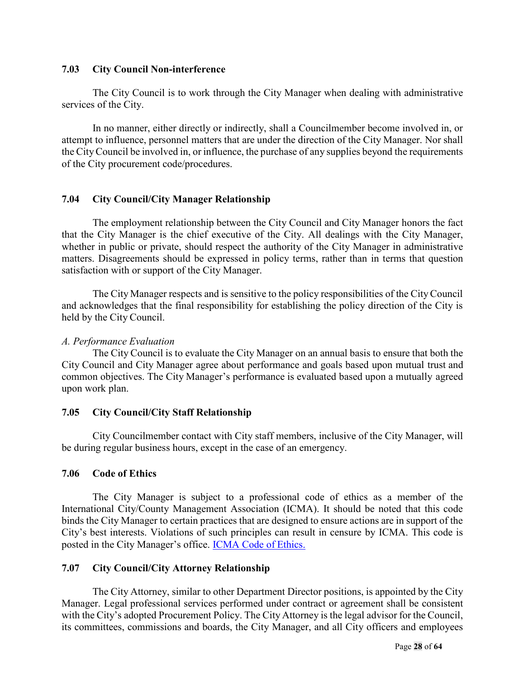#### <span id="page-27-0"></span>**7.03 City Council Non-interference**

The City Council is to work through the City Manager when dealing with administrative services of the City.

In no manner, either directly or indirectly, shall a Councilmember become involved in, or attempt to influence, personnel matters that are under the direction of the City Manager. Nor shall the CityCouncil be involved in, or influence, the purchase of any supplies beyond the requirements of the City procurement code/procedures.

#### <span id="page-27-1"></span>**7.04 City Council/City Manager Relationship**

The employment relationship between the City Council and City Manager honors the fact that the City Manager is the chief executive of the City. All dealings with the City Manager, whether in public or private, should respect the authority of the City Manager in administrative matters. Disagreements should be expressed in policy terms, rather than in terms that question satisfaction with or support of the City Manager.

The City Manager respects and is sensitive to the policy responsibilities of the CityCouncil and acknowledges that the final responsibility for establishing the policy direction of the City is held by the City Council.

#### *A. Performance Evaluation*

The City Council is to evaluate the City Manager on an annual basis to ensure that both the City Council and City Manager agree about performance and goals based upon mutual trust and common objectives. The City Manager's performance is evaluated based upon a mutually agreed upon work plan.

#### <span id="page-27-2"></span>**7.05 City Council/City Staff Relationship**

City Councilmember contact with City staff members, inclusive of the City Manager, will be during regular business hours, except in the case of an emergency.

#### **7.06 Code of Ethics**

The City Manager is subject to a professional code of ethics as a member of the International City/County Management Association (ICMA). It should be noted that this code binds the City Manager to certain practices that are designed to ensure actions are in support of the City's best interests. Violations of such principles can result in censure by ICMA. This code is posted in the City Manager's office. [ICMA Code of](https://icma.org/icma-code-ethics) Ethics.

#### <span id="page-27-3"></span>**7.07 City Council/City Attorney Relationship**

The City Attorney, similar to other Department Director positions, is appointed by the City Manager. Legal professional services performed under contract or agreement shall be consistent with the City's adopted Procurement Policy. The City Attorney is the legal advisor for the Council, its committees, commissions and boards, the City Manager, and all City officers and employees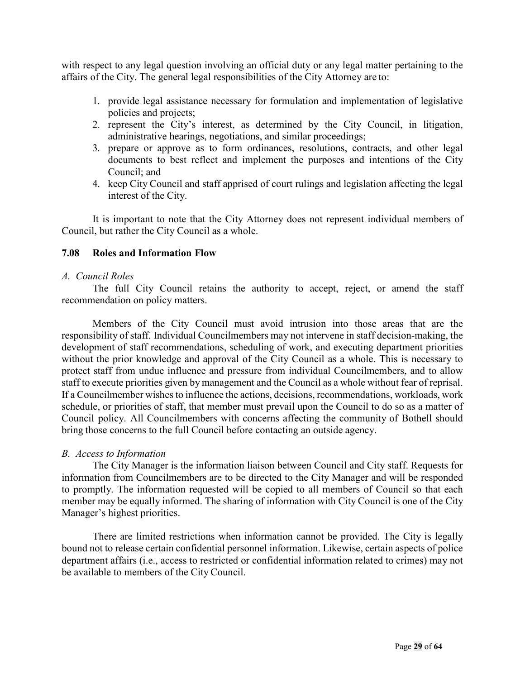with respect to any legal question involving an official duty or any legal matter pertaining to the affairs of the City. The general legal responsibilities of the City Attorney are to:

- 1. provide legal assistance necessary for formulation and implementation of legislative policies and projects;
- 2. represent the City's interest, as determined by the City Council, in litigation, administrative hearings, negotiations, and similar proceedings;
- 3. prepare or approve as to form ordinances, resolutions, contracts, and other legal documents to best reflect and implement the purposes and intentions of the City Council; and
- 4. keep City Council and staff apprised of court rulings and legislation affecting the legal interest of the City.

It is important to note that the City Attorney does not represent individual members of Council, but rather the City Council as a whole.

#### <span id="page-28-0"></span>**7.08 Roles and Information Flow**

#### *A. Council Roles*

The full City Council retains the authority to accept, reject, or amend the staff recommendation on policy matters.

Members of the City Council must avoid intrusion into those areas that are the responsibility of staff. Individual Councilmembers may not intervene in staff decision-making, the development of staff recommendations, scheduling of work, and executing department priorities without the prior knowledge and approval of the City Council as a whole. This is necessary to protect staff from undue influence and pressure from individual Councilmembers, and to allow staff to execute priorities given by management and the Council as a whole without fear of reprisal. If a Councilmember wishes to influence the actions, decisions, recommendations, workloads, work schedule, or priorities of staff, that member must prevail upon the Council to do so as a matter of Council policy. All Councilmembers with concerns affecting the community of Bothell should bring those concerns to the full Council before contacting an outside agency.

#### *B. Access to Information*

The City Manager is the information liaison between Council and City staff. Requests for information from Councilmembers are to be directed to the City Manager and will be responded to promptly. The information requested will be copied to all members of Council so that each member may be equally informed. The sharing of information with City Council is one of the City Manager's highest priorities.

There are limited restrictions when information cannot be provided. The City is legally bound not to release certain confidential personnel information. Likewise, certain aspects of police department affairs (i.e., access to restricted or confidential information related to crimes) may not be available to members of the City Council.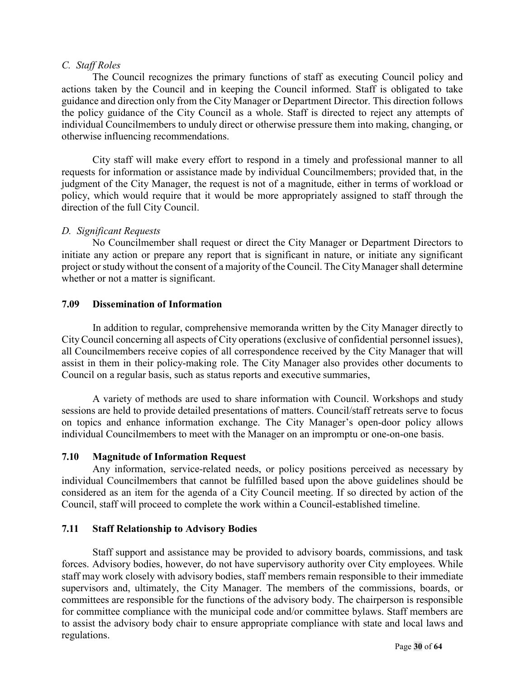#### *C. Staff Roles*

The Council recognizes the primary functions of staff as executing Council policy and actions taken by the Council and in keeping the Council informed. Staff is obligated to take guidance and direction only from the City Manager or Department Director. This direction follows the policy guidance of the City Council as a whole. Staff is directed to reject any attempts of individual Councilmembers to unduly direct or otherwise pressure them into making, changing, or otherwise influencing recommendations.

City staff will make every effort to respond in a timely and professional manner to all requests for information or assistance made by individual Councilmembers; provided that, in the judgment of the City Manager, the request is not of a magnitude, either in terms of workload or policy, which would require that it would be more appropriately assigned to staff through the direction of the full City Council.

#### *D. Significant Requests*

No Councilmember shall request or direct the City Manager or Department Directors to initiate any action or prepare any report that is significant in nature, or initiate any significant project or study without the consent of a majority of the Council. The City Manager shall determine whether or not a matter is significant.

#### <span id="page-29-0"></span>**7.09 Dissemination of Information**

In addition to regular, comprehensive memoranda written by the City Manager directly to CityCouncil concerning all aspects of City operations (exclusive of confidential personnel issues), all Councilmembers receive copies of all correspondence received by the City Manager that will assist in them in their policy-making role. The City Manager also provides other documents to Council on a regular basis, such as status reports and executive summaries,

A variety of methods are used to share information with Council. Workshops and study sessions are held to provide detailed presentations of matters. Council/staff retreats serve to focus on topics and enhance information exchange. The City Manager's open-door policy allows individual Councilmembers to meet with the Manager on an impromptu or one-on-one basis.

#### <span id="page-29-1"></span>**7.10 Magnitude of Information Request**

Any information, service-related needs, or policy positions perceived as necessary by individual Councilmembers that cannot be fulfilled based upon the above guidelines should be considered as an item for the agenda of a City Council meeting. If so directed by action of the Council, staff will proceed to complete the work within a Council-established timeline.

#### <span id="page-29-2"></span>**7.11 Staff Relationship to Advisory Bodies**

Staff support and assistance may be provided to advisory boards, commissions, and task forces. Advisory bodies, however, do not have supervisory authority over City employees. While staff may work closely with advisory bodies, staff members remain responsible to their immediate supervisors and, ultimately, the City Manager. The members of the commissions, boards, or committees are responsible for the functions of the advisory body. The chairperson is responsible for committee compliance with the municipal code and/or committee bylaws. Staff members are to assist the advisory body chair to ensure appropriate compliance with state and local laws and regulations.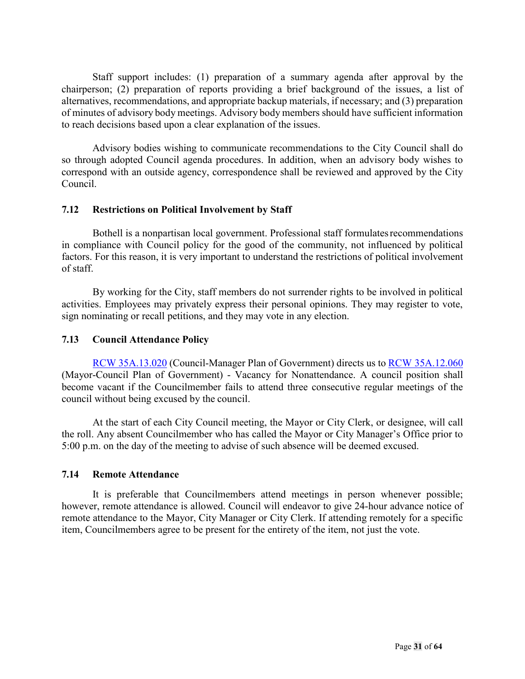Staff support includes: (1) preparation of a summary agenda after approval by the chairperson; (2) preparation of reports providing a brief background of the issues, a list of alternatives, recommendations, and appropriate backup materials, if necessary; and (3) preparation of minutes of advisory body meetings. Advisory body members should have sufficient information to reach decisions based upon a clear explanation of the issues.

Advisory bodies wishing to communicate recommendations to the City Council shall do so through adopted Council agenda procedures. In addition, when an advisory body wishes to correspond with an outside agency, correspondence shall be reviewed and approved by the City Council.

#### <span id="page-30-0"></span>**7.12 Restrictions on Political Involvement by Staff**

Bothell is a nonpartisan local government. Professional staff formulatesrecommendations in compliance with Council policy for the good of the community, not influenced by political factors. For this reason, it is very important to understand the restrictions of political involvement of staff.

By working for the City, staff members do not surrender rights to be involved in political activities. Employees may privately express their personal opinions. They may register to vote, sign nominating or recall petitions, and they may vote in any election.

#### <span id="page-30-1"></span>**7.13 Council Attendance Policy**

RCW [35A.13.020](http://apps.leg.wa.gov/RCW/default.aspx?cite=35A.13.020) (Council-Manager Plan of Government) directs us to [RCW 35A.12.060](http://apps.leg.wa.gov/RCW/default.aspx?cite=35A.12.060) (Mayor-Council Plan of Government) - Vacancy for Nonattendance. A council position shall become vacant if the Councilmember fails to attend three consecutive regular meetings of the council without being excused by the council.

At the start of each City Council meeting, the Mayor or City Clerk, or designee, will call the roll. Any absent Councilmember who has called the Mayor or City Manager's Office prior to 5:00 p.m. on the day of the meeting to advise of such absence will be deemed excused.

#### <span id="page-30-2"></span>**7.14 Remote Attendance**

It is preferable that Councilmembers attend meetings in person whenever possible; however, remote attendance is allowed. Council will endeavor to give 24-hour advance notice of remote attendance to the Mayor, City Manager or City Clerk. If attending remotely for a specific item, Councilmembers agree to be present for the entirety of the item, not just the vote.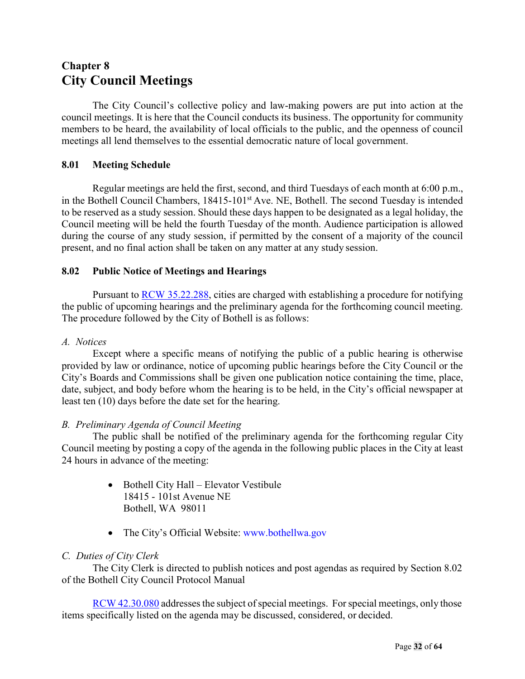## <span id="page-31-0"></span>**Chapter 8 City Council Meetings**

The City Council's collective policy and law-making powers are put into action at the council meetings. It is here that the Council conducts its business. The opportunity for community members to be heard, the availability of local officials to the public, and the openness of council meetings all lend themselves to the essential democratic nature of local government.

#### <span id="page-31-1"></span>**8.01 Meeting Schedule**

Regular meetings are held the first, second, and third Tuesdays of each month at 6:00 p.m., in the Bothell Council Chambers, 18415-101<sup>st</sup> Ave. NE, Bothell. The second Tuesday is intended to be reserved as a study session. Should these days happen to be designated as a legal holiday, the Council meeting will be held the fourth Tuesday of the month. Audience participation is allowed during the course of any study session, if permitted by the consent of a majority of the council present, and no final action shall be taken on any matter at any study session.

#### <span id="page-31-2"></span>**8.02 Public Notice of Meetings and Hearings**

Pursuant to RCW [35.22.288,](http://app.leg.wa.gov/RCW/default.aspx?cite=35.22.288) cities are charged with establishing a procedure for notifying the public of upcoming hearings and the preliminary agenda for the forthcoming council meeting. The procedure followed by the City of Bothell is as follows:

#### *A. Notices*

Except where a specific means of notifying the public of a public hearing is otherwise provided by law or ordinance, notice of upcoming public hearings before the City Council or the City's Boards and Commissions shall be given one publication notice containing the time, place, date, subject, and body before whom the hearing is to be held, in the City's official newspaper at least ten (10) days before the date set for the hearing.

#### *B. Preliminary Agenda of Council Meeting*

The public shall be notified of the preliminary agenda for the forthcoming regular City Council meeting by posting a copy of the agenda in the following public places in the City at least 24 hours in advance of the meeting:

- Bothell City Hall Elevator Vestibule 18415 - 101st Avenue NE Bothell, WA 98011
- The City's Official Website: [www.bothellwa.gov](http://www.bothellwa.gov/)

#### *C. Duties of City Clerk*

The City Clerk is directed to publish notices and post agendas as required by Section 8.02 of the Bothell City Council Protocol Manual

RCW [42.30.080](http://app.leg.wa.gov/RCW/default.aspx?cite=42.30.080) addresses the subject of special meetings. For special meetings, only those items specifically listed on the agenda may be discussed, considered, or decided.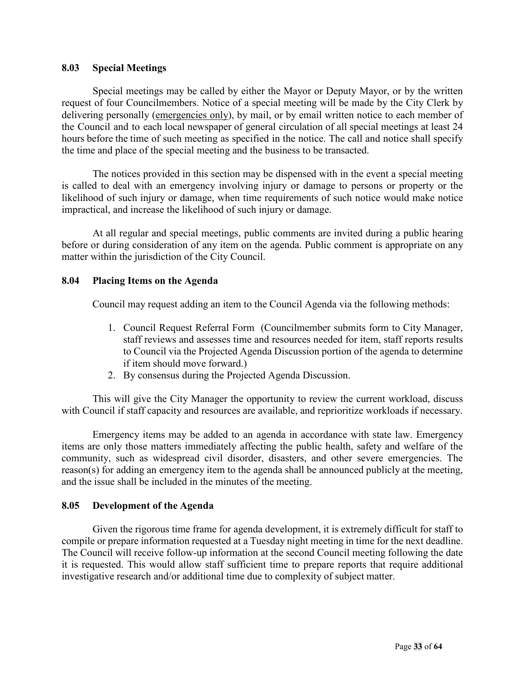#### **8.03 Special Meetings**

Special meetings may be called by either the Mayor or Deputy Mayor, or by the written request of four Councilmembers. Notice of a special meeting will be made by the City Clerk by delivering personally (emergencies only), by mail, or by email written notice to each member of the Council and to each local newspaper of general circulation of all special meetings at least 24 hours before the time of such meeting as specified in the notice. The call and notice shall specify the time and place of the special meeting and the business to be transacted.

The notices provided in this section may be dispensed with in the event a special meeting is called to deal with an emergency involving injury or damage to persons or property or the likelihood of such injury or damage, when time requirements of such notice would make notice impractical, and increase the likelihood of such injury or damage.

At all regular and special meetings, public comments are invited during a public hearing before or during consideration of any item on the agenda. Public comment is appropriate on any matter within the jurisdiction of the City Council.

#### <span id="page-32-0"></span>**8.04 Placing Items on the Agenda**

Council may request adding an item to the Council Agenda via the following methods:

- 1. Council Request Referral Form (Councilmember submits form to City Manager, staff reviews and assesses time and resources needed for item, staff reports results to Council via the Projected Agenda Discussion portion of the agenda to determine if item should move forward.)
- 2. By consensus during the Projected Agenda Discussion.

This will give the City Manager the opportunity to review the current workload, discuss with Council if staff capacity and resources are available, and reprioritize workloads if necessary.

Emergency items may be added to an agenda in accordance with state law. Emergency items are only those matters immediately affecting the public health, safety and welfare of the community, such as widespread civil disorder, disasters, and other severe emergencies. The reason(s) for adding an emergency item to the agenda shall be announced publicly at the meeting, and the issue shall be included in the minutes of the meeting.

#### <span id="page-32-1"></span>**8.05 Development of the Agenda**

<span id="page-32-2"></span>Given the rigorous time frame for agenda development, it is extremely difficult for staff to compile or prepare information requested at a Tuesday night meeting in time for the next deadline. The Council will receive follow-up information at the second Council meeting following the date it is requested. This would allow staff sufficient time to prepare reports that require additional investigative research and/or additional time due to complexity of subject matter.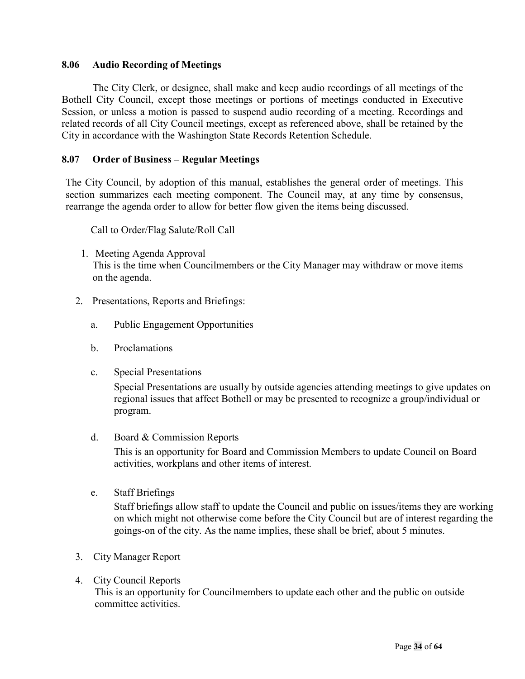#### **8.06 Audio Recording of Meetings**

The City Clerk, or designee, shall make and keep audio recordings of all meetings of the Bothell City Council, except those meetings or portions of meetings conducted in Executive Session, or unless a motion is passed to suspend audio recording of a meeting. Recordings and related records of all City Council meetings, except as referenced above, shall be retained by the City in accordance with the Washington State Records Retention Schedule.

#### <span id="page-33-0"></span>**8.07 Order of Business – Regular Meetings**

The City Council, by adoption of this manual, establishes the general order of meetings. This section summarizes each meeting component. The Council may, at any time by consensus, rearrange the agenda order to allow for better flow given the items being discussed.

Call to Order/Flag Salute/Roll Call

- 1. Meeting Agenda Approval This is the time when Councilmembers or the City Manager may withdraw or move items on the agenda.
- 2. Presentations, Reports and Briefings:
	- a. Public Engagement Opportunities
	- b. Proclamations
	- c. Special Presentations

Special Presentations are usually by outside agencies attending meetings to give updates on regional issues that affect Bothell or may be presented to recognize a group/individual or program.

d. Board & Commission Reports

This is an opportunity for Board and Commission Members to update Council on Board activities, workplans and other items of interest.

e. Staff Briefings

Staff briefings allow staff to update the Council and public on issues/items they are working on which might not otherwise come before the City Council but are of interest regarding the goings-on of the city. As the name implies, these shall be brief, about 5 minutes.

- 3. City Manager Report
- 4. City Council Reports This is an opportunity for Councilmembers to update each other and the public on outside committee activities.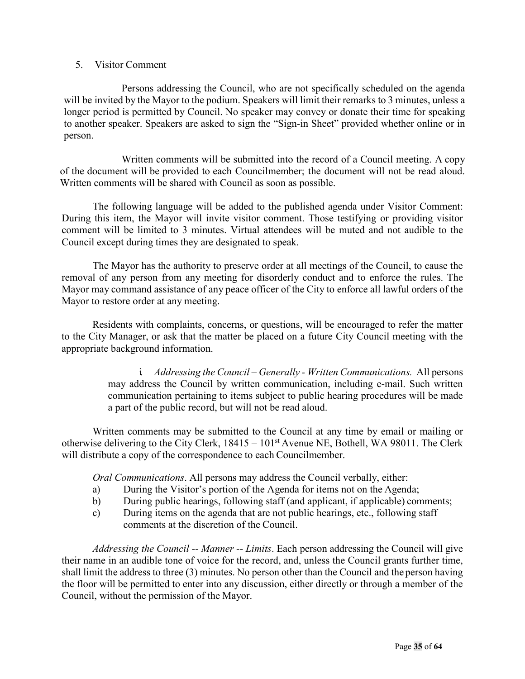#### 5. Visitor Comment

Persons addressing the Council, who are not specifically scheduled on the agenda will be invited by the Mayor to the podium. Speakers will limit their remarks to 3 minutes, unless a longer period is permitted by Council. No speaker may convey or donate their time for speaking to another speaker. Speakers are asked to sign the "Sign-in Sheet" provided whether online or in person.

Written comments will be submitted into the record of a Council meeting. A copy of the document will be provided to each Councilmember; the document will not be read aloud. Written comments will be shared with Council as soon as possible.

The following language will be added to the published agenda under Visitor Comment: During this item, the Mayor will invite visitor comment. Those testifying or providing visitor comment will be limited to 3 minutes. Virtual attendees will be muted and not audible to the Council except during times they are designated to speak.

The Mayor has the authority to preserve order at all meetings of the Council, to cause the removal of any person from any meeting for disorderly conduct and to enforce the rules. The Mayor may command assistance of any peace officer of the City to enforce all lawful orders of the Mayor to restore order at any meeting.

Residents with complaints, concerns, or questions, will be encouraged to refer the matter to the City Manager, or ask that the matter be placed on a future City Council meeting with the appropriate background information.

> i. *Addressing the Council – Generally - Written Communications.* All persons may address the Council by written communication, including e-mail. Such written communication pertaining to items subject to public hearing procedures will be made a part of the public record, but will not be read aloud.

Written comments may be submitted to the Council at any time by email or mailing or otherwise delivering to the City Clerk,  $18415 - 101<sup>st</sup>$  Avenue NE, Bothell, WA 98011. The Clerk will distribute a copy of the correspondence to each Councilmember.

*Oral Communications*. All persons may address the Council verbally, either:

- a) During the Visitor's portion of the Agenda for items not on the Agenda;
- b) During public hearings, following staff (and applicant, if applicable) comments;
- c) During items on the agenda that are not public hearings, etc., following staff comments at the discretion of the Council.

*Addressing the Council -- Manner -- Limits*. Each person addressing the Council will give their name in an audible tone of voice for the record, and, unless the Council grants further time, shall limit the address to three (3) minutes. No person other than the Council and the person having the floor will be permitted to enter into any discussion, either directly or through a member of the Council, without the permission of the Mayor.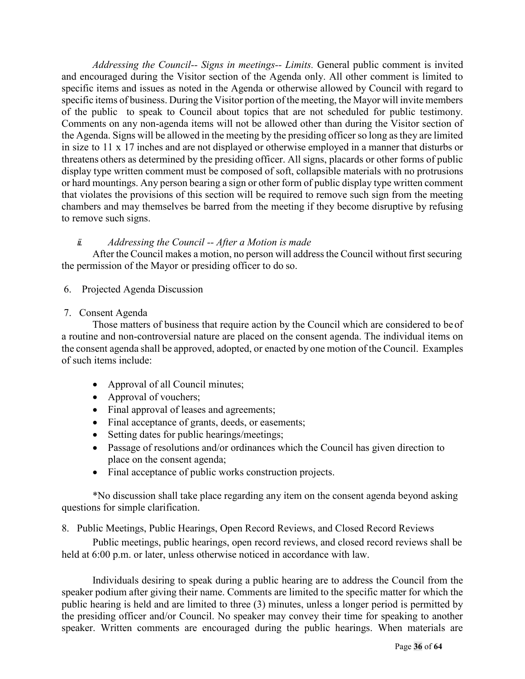*Addressing the Council-- Signs in meetings-- Limits.* General public comment is invited and encouraged during the Visitor section of the Agenda only. All other comment is limited to specific items and issues as noted in the Agenda or otherwise allowed by Council with regard to specific items of business. During the Visitor portion of the meeting, the Mayor will invite members of the public to speak to Council about topics that are not scheduled for public testimony. Comments on any non-agenda items will not be allowed other than during the Visitor section of the Agenda. Signs will be allowed in the meeting by the presiding officer so long as they are limited in size to 11 x 17 inches and are not displayed or otherwise employed in a manner that disturbs or threatens others as determined by the presiding officer. All signs, placards or other forms of public display type written comment must be composed of soft, collapsible materials with no protrusions or hard mountings. Any person bearing a sign or other form of public display type written comment that violates the provisions of this section will be required to remove such sign from the meeting chambers and may themselves be barred from the meeting if they become disruptive by refusing to remove such signs.

#### *ii. Addressing the Council -- After a Motion is made*

After the Council makes a motion, no person will address the Council without first securing the permission of the Mayor or presiding officer to do so.

6. Projected Agenda Discussion

#### 7. Consent Agenda

Those matters of business that require action by the Council which are considered to beof a routine and non-controversial nature are placed on the consent agenda. The individual items on the consent agenda shall be approved, adopted, or enacted by one motion of the Council. Examples of such items include:

- Approval of all Council minutes;
- Approval of vouchers;
- Final approval of leases and agreements;
- Final acceptance of grants, deeds, or easements;
- Setting dates for public hearings/meetings;
- Passage of resolutions and/or ordinances which the Council has given direction to place on the consent agenda;
- Final acceptance of public works construction projects.

\*No discussion shall take place regarding any item on the consent agenda beyond asking questions for simple clarification.

#### 8. Public Meetings, Public Hearings, Open Record Reviews, and Closed Record Reviews

Public meetings, public hearings, open record reviews, and closed record reviews shall be held at 6:00 p.m. or later, unless otherwise noticed in accordance with law.

Individuals desiring to speak during a public hearing are to address the Council from the speaker podium after giving their name. Comments are limited to the specific matter for which the public hearing is held and are limited to three (3) minutes, unless a longer period is permitted by the presiding officer and/or Council. No speaker may convey their time for speaking to another speaker. Written comments are encouraged during the public hearings. When materials are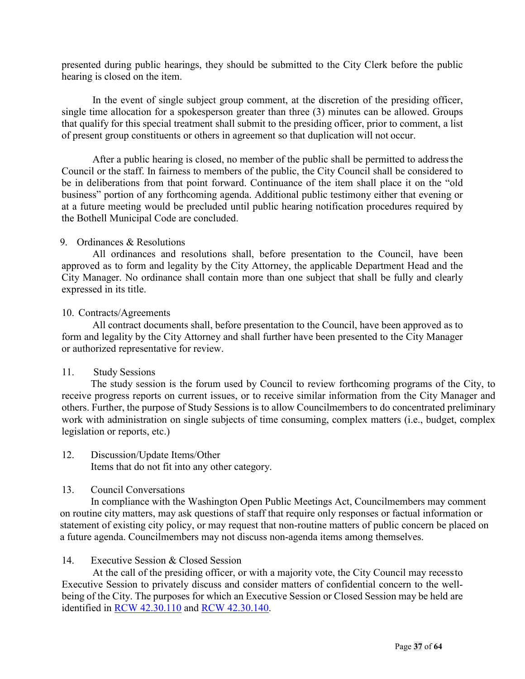presented during public hearings, they should be submitted to the City Clerk before the public hearing is closed on the item.

In the event of single subject group comment, at the discretion of the presiding officer, single time allocation for a spokesperson greater than three (3) minutes can be allowed. Groups that qualify for this special treatment shall submit to the presiding officer, prior to comment, a list of present group constituents or others in agreement so that duplication will not occur.

After a public hearing is closed, no member of the public shall be permitted to addressthe Council or the staff. In fairness to members of the public, the City Council shall be considered to be in deliberations from that point forward. Continuance of the item shall place it on the "old business" portion of any forthcoming agenda. Additional public testimony either that evening or at a future meeting would be precluded until public hearing notification procedures required by the Bothell Municipal Code are concluded.

#### 9. Ordinances & Resolutions

All ordinances and resolutions shall, before presentation to the Council, have been approved as to form and legality by the City Attorney, the applicable Department Head and the City Manager. No ordinance shall contain more than one subject that shall be fully and clearly expressed in its title.

#### 10. Contracts/Agreements

All contract documents shall, before presentation to the Council, have been approved as to form and legality by the City Attorney and shall further have been presented to the City Manager or authorized representative for review.

#### 11. Study Sessions

The study session is the forum used by Council to review forthcoming programs of the City, to receive progress reports on current issues, or to receive similar information from the City Manager and others. Further, the purpose of Study Sessions is to allow Councilmembers to do concentrated preliminary work with administration on single subjects of time consuming, complex matters (i.e., budget, complex legislation or reports, etc.)

12. Discussion/Update Items/Other

Items that do not fit into any other category.

#### 13. Council Conversations

In compliance with the Washington Open Public Meetings Act, Councilmembers may comment on routine city matters, may ask questions of staff that require only responses or factual information or statement of existing city policy, or may request that non-routine matters of public concern be placed on a future agenda. Councilmembers may not discuss non-agenda items among themselves.

#### 14. Executive Session & Closed Session

At the call of the presiding officer, or with a majority vote, the City Council may recessto Executive Session to privately discuss and consider matters of confidential concern to the wellbeing of the City. The purposes for which an Executive Session or Closed Session may be held are identified in [RCW 42.30.110](http://app.leg.wa.gov/RCW/default.aspx?cite=42.30.110) and RCW [42.30.140.](http://apps.leg.wa.gov/RCW/default.aspx?cite=42.30.140)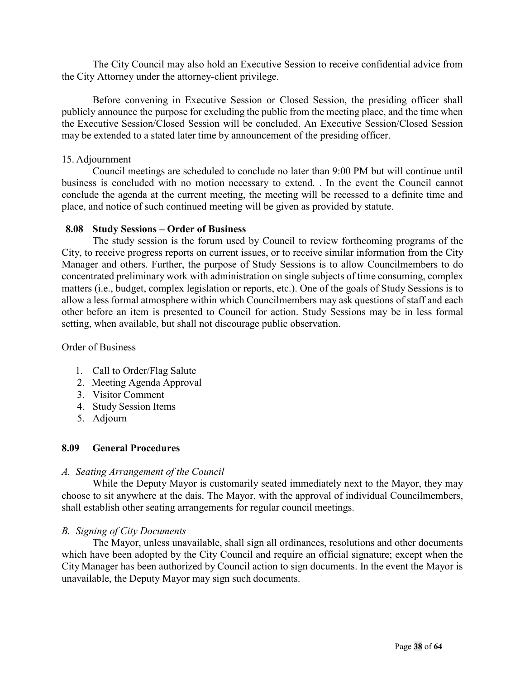The City Council may also hold an Executive Session to receive confidential advice from the City Attorney under the attorney-client privilege.

Before convening in Executive Session or Closed Session, the presiding officer shall publicly announce the purpose for excluding the public from the meeting place, and the time when the Executive Session/Closed Session will be concluded. An Executive Session/Closed Session may be extended to a stated later time by announcement of the presiding officer.

#### 15. Adjournment

Council meetings are scheduled to conclude no later than 9:00 PM but will continue until business is concluded with no motion necessary to extend. . In the event the Council cannot conclude the agenda at the current meeting, the meeting will be recessed to a definite time and place, and notice of such continued meeting will be given as provided by statute.

#### <span id="page-37-0"></span>**8.08 Study Sessions – Order of Business**

The study session is the forum used by Council to review forthcoming programs of the City, to receive progress reports on current issues, or to receive similar information from the City Manager and others. Further, the purpose of Study Sessions is to allow Councilmembers to do concentrated preliminary work with administration on single subjects of time consuming, complex matters (i.e., budget, complex legislation or reports, etc.). One of the goals of Study Sessions is to allow a less formal atmosphere within which Councilmembers may ask questions of staff and each other before an item is presented to Council for action. Study Sessions may be in less formal setting, when available, but shall not discourage public observation.

#### Order of Business

- 1. Call to Order/Flag Salute
- 2. Meeting Agenda Approval
- 3. Visitor Comment
- 4. Study Session Items
- 5. Adjourn

#### **8.09 General Procedures**

#### *A. Seating Arrangement of the Council*

While the Deputy Mayor is customarily seated immediately next to the Mayor, they may choose to sit anywhere at the dais. The Mayor, with the approval of individual Councilmembers, shall establish other seating arrangements for regular council meetings.

#### *B. Signing of City Documents*

The Mayor, unless unavailable, shall sign all ordinances, resolutions and other documents which have been adopted by the City Council and require an official signature; except when the City Manager has been authorized by Council action to sign documents. In the event the Mayor is unavailable, the Deputy Mayor may sign such documents.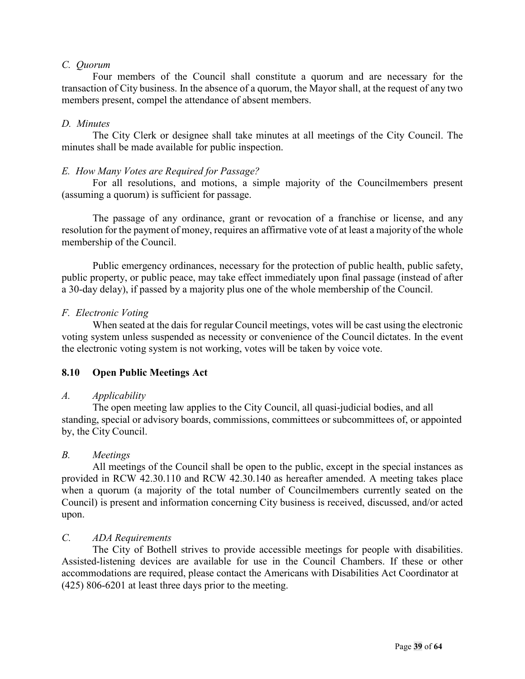#### *C. Quorum*

Four members of the Council shall constitute a quorum and are necessary for the transaction of City business. In the absence of a quorum, the Mayor shall, at the request of any two members present, compel the attendance of absent members.

#### *D. Minutes*

The City Clerk or designee shall take minutes at all meetings of the City Council. The minutes shall be made available for public inspection.

#### *E. How Many Votes are Required for Passage?*

For all resolutions, and motions, a simple majority of the Councilmembers present (assuming a quorum) is sufficient for passage.

The passage of any ordinance, grant or revocation of a franchise or license, and any resolution for the payment of money, requires an affirmative vote of at least a majority of the whole membership of the Council.

Public emergency ordinances, necessary for the protection of public health, public safety, public property, or public peace, may take effect immediately upon final passage (instead of after a 30-day delay), if passed by a majority plus one of the whole membership of the Council.

#### *F. Electronic Voting*

When seated at the dais for regular Council meetings, votes will be cast using the electronic voting system unless suspended as necessity or convenience of the Council dictates. In the event the electronic voting system is not working, votes will be taken by voice vote.

#### <span id="page-38-0"></span>**8.10 Open Public Meetings Act**

#### *A. Applicability*

The open meeting law applies to the City Council, all quasi-judicial bodies, and all standing, special or advisory boards, commissions, committees or subcommittees of, or appointed by, the City Council.

#### *B. Meetings*

All meetings of the Council shall be open to the public, except in the special instances as provided in RCW 42.30.110 and RCW 42.30.140 as hereafter amended. A meeting takes place when a quorum (a majority of the total number of Councilmembers currently seated on the Council) is present and information concerning City business is received, discussed, and/or acted upon.

#### *C. ADA Requirements*

The City of Bothell strives to provide accessible meetings for people with disabilities. Assisted-listening devices are available for use in the Council Chambers. If these or other accommodations are required, please contact the Americans with Disabilities Act Coordinator at (425) 806-6201 at least three days prior to the meeting.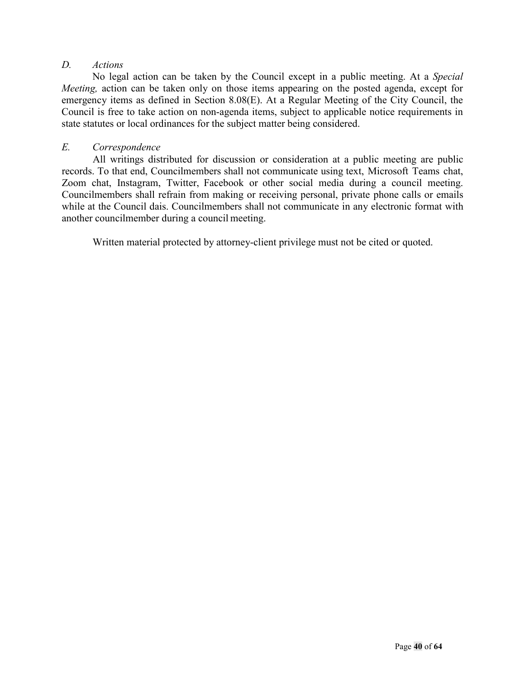#### *D. Actions*

No legal action can be taken by the Council except in a public meeting. At a *Special Meeting,* action can be taken only on those items appearing on the posted agenda, except for emergency items as defined in Section 8.08(E). At a Regular Meeting of the City Council, the Council is free to take action on non-agenda items, subject to applicable notice requirements in state statutes or local ordinances for the subject matter being considered.

#### *E. Correspondence*

All writings distributed for discussion or consideration at a public meeting are public records. To that end, Councilmembers shall not communicate using text, Microsoft Teams chat, Zoom chat, Instagram, Twitter, Facebook or other social media during a council meeting. Councilmembers shall refrain from making or receiving personal, private phone calls or emails while at the Council dais. Councilmembers shall not communicate in any electronic format with another councilmember during a council meeting.

Written material protected by attorney-client privilege must not be cited or quoted.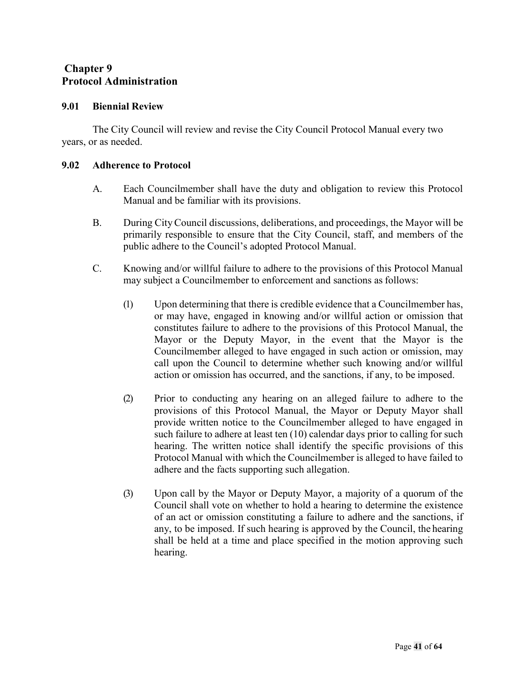#### <span id="page-40-1"></span><span id="page-40-0"></span>**Chapter 9 Protocol Administration**

#### <span id="page-40-2"></span>**9.01 Biennial Review**

The City Council will review and revise the City Council Protocol Manual every two years, or as needed.

#### <span id="page-40-3"></span>**9.02 Adherence to Protocol**

- A. Each Councilmember shall have the duty and obligation to review this Protocol Manual and be familiar with its provisions.
- B. During City Council discussions, deliberations, and proceedings, the Mayor will be primarily responsible to ensure that the City Council, staff, and members of the public adhere to the Council's adopted Protocol Manual.
- C. Knowing and/or willful failure to adhere to the provisions of this Protocol Manual may subject a Councilmember to enforcement and sanctions as follows:
	- (1) Upon determining that there is credible evidence that a Councilmember has, or may have, engaged in knowing and/or willful action or omission that constitutes failure to adhere to the provisions of this Protocol Manual, the Mayor or the Deputy Mayor, in the event that the Mayor is the Councilmember alleged to have engaged in such action or omission, may call upon the Council to determine whether such knowing and/or willful action or omission has occurred, and the sanctions, if any, to be imposed.
	- (2) Prior to conducting any hearing on an alleged failure to adhere to the provisions of this Protocol Manual, the Mayor or Deputy Mayor shall provide written notice to the Councilmember alleged to have engaged in such failure to adhere at least ten (10) calendar days prior to calling for such hearing. The written notice shall identify the specific provisions of this Protocol Manual with which the Councilmember is alleged to have failed to adhere and the facts supporting such allegation.
	- (3) Upon call by the Mayor or Deputy Mayor, a majority of a quorum of the Council shall vote on whether to hold a hearing to determine the existence of an act or omission constituting a failure to adhere and the sanctions, if any, to be imposed. If such hearing is approved by the Council, the hearing shall be held at a time and place specified in the motion approving such hearing.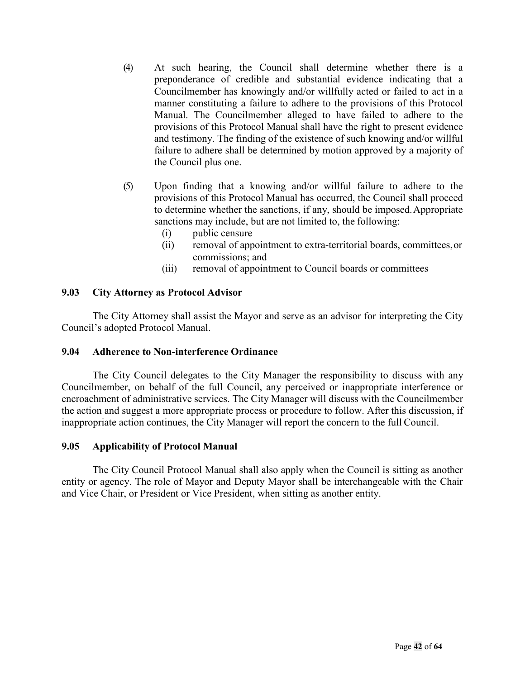- (4) At such hearing, the Council shall determine whether there is a preponderance of credible and substantial evidence indicating that a Councilmember has knowingly and/or willfully acted or failed to act in a manner constituting a failure to adhere to the provisions of this Protocol Manual. The Councilmember alleged to have failed to adhere to the provisions of this Protocol Manual shall have the right to present evidence and testimony. The finding of the existence of such knowing and/or willful failure to adhere shall be determined by motion approved by a majority of the Council plus one.
- (5) Upon finding that a knowing and/or willful failure to adhere to the provisions of this Protocol Manual has occurred, the Council shall proceed to determine whether the sanctions, if any, should be imposed.Appropriate sanctions may include, but are not limited to, the following:
	- (i) public censure
	- (ii) removal of appointment to extra-territorial boards, committees,or commissions; and
	- (iii) removal of appointment to Council boards or committees

#### <span id="page-41-0"></span>**9.03 City Attorney as Protocol Advisor**

The City Attorney shall assist the Mayor and serve as an advisor for interpreting the City Council's adopted Protocol Manual.

#### <span id="page-41-1"></span>**9.04 Adherence to Non-interference Ordinance**

The City Council delegates to the City Manager the responsibility to discuss with any Councilmember, on behalf of the full Council, any perceived or inappropriate interference or encroachment of administrative services. The City Manager will discuss with the Councilmember the action and suggest a more appropriate process or procedure to follow. After this discussion, if inappropriate action continues, the City Manager will report the concern to the full Council.

#### <span id="page-41-2"></span>**9.05 Applicability of Protocol Manual**

The City Council Protocol Manual shall also apply when the Council is sitting as another entity or agency. The role of Mayor and Deputy Mayor shall be interchangeable with the Chair and Vice Chair, or President or Vice President, when sitting as another entity.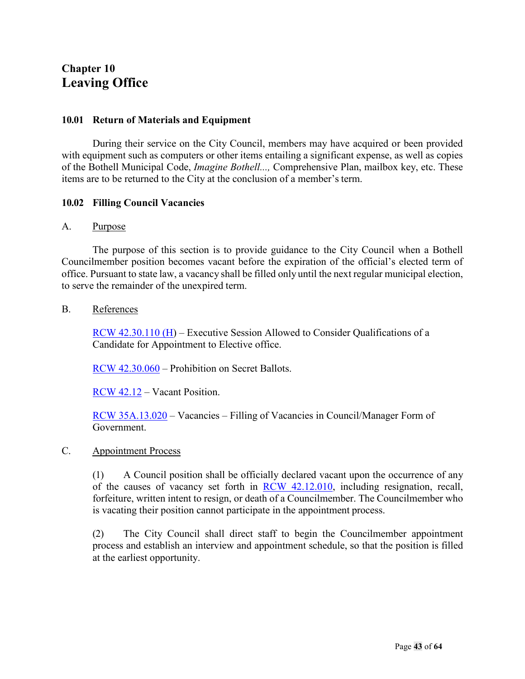## <span id="page-42-1"></span><span id="page-42-0"></span>**Chapter 10 Leaving Office**

#### <span id="page-42-2"></span>**10.01 Return of Materials and Equipment**

During their service on the City Council, members may have acquired or been provided with equipment such as computers or other items entailing a significant expense, as well as copies of the Bothell Municipal Code, *Imagine Bothell...,* Comprehensive Plan, mailbox key, etc. These items are to be returned to the City at the conclusion of a member's term.

#### <span id="page-42-3"></span>**10.02 Filling Council Vacancies**

#### A. Purpose

The purpose of this section is to provide guidance to the City Council when a Bothell Councilmember position becomes vacant before the expiration of the official's elected term of office. Pursuant to state law, a vacancy shall be filled only until the next regular municipal election, to serve the remainder of the unexpired term.

#### B. References

[RCW 42.30.110](http://app.leg.wa.gov/RCW/default.aspx?cite=42.30.110) (H) – Executive Session Allowed to Consider Qualifications of a Candidate for Appointment to Elective office.

[RCW 42.30.060](http://apps.leg.wa.gov/rcw/default.aspx?cite=42.30.060) – Prohibition on Secret Ballots.

[RCW 42.12](http://app.leg.wa.gov/RCW/default.aspx?cite=42.12) – Vacant Position.

[RCW 35A.13.020](http://app.leg.wa.gov/RCW/default.aspx?cite=35A.13.020) – Vacancies – Filling of Vacancies in Council/Manager Form of Government.

#### C. Appointment Process

(1) A Council position shall be officially declared vacant upon the occurrence of any of the causes of vacancy set forth in [RCW 42.12.010,](http://apps.leg.wa.gov/RCW/default.aspx?cite=42.12.010) including resignation, recall, forfeiture, written intent to resign, or death of a Councilmember. The Councilmember who is vacating their position cannot participate in the appointment process.

(2) The City Council shall direct staff to begin the Councilmember appointment process and establish an interview and appointment schedule, so that the position is filled at the earliest opportunity.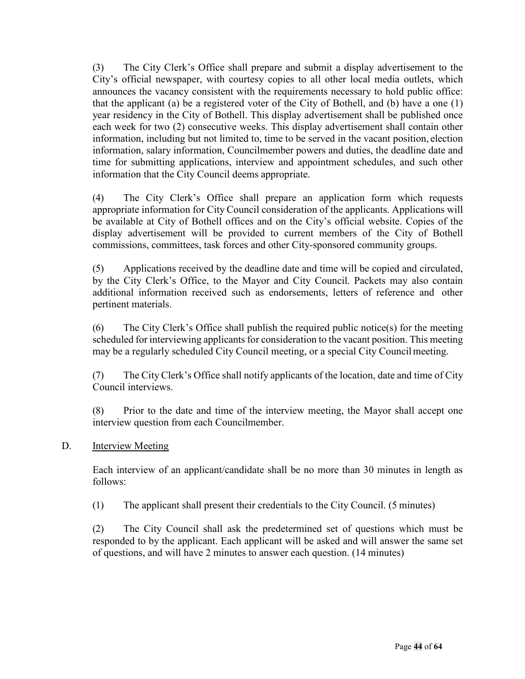(3) The City Clerk's Office shall prepare and submit a display advertisement to the City's official newspaper, with courtesy copies to all other local media outlets, which announces the vacancy consistent with the requirements necessary to hold public office: that the applicant (a) be a registered voter of the City of Bothell, and (b) have a one (1) year residency in the City of Bothell. This display advertisement shall be published once each week for two (2) consecutive weeks. This display advertisement shall contain other information, including but not limited to, time to be served in the vacant position, election information, salary information, Councilmember powers and duties, the deadline date and time for submitting applications, interview and appointment schedules, and such other information that the City Council deems appropriate.

(4) The City Clerk's Office shall prepare an application form which requests appropriate information for City Council consideration of the applicants. Applications will be available at City of Bothell offices and on the City's official website. Copies of the display advertisement will be provided to current members of the City of Bothell commissions, committees, task forces and other City-sponsored community groups.

(5) Applications received by the deadline date and time will be copied and circulated, by the City Clerk's Office, to the Mayor and City Council. Packets may also contain additional information received such as endorsements, letters of reference and other pertinent materials.

(6) The City Clerk's Office shall publish the required public notice(s) for the meeting scheduled for interviewing applicants for consideration to the vacant position. This meeting may be a regularly scheduled City Council meeting, or a special City Councilmeeting.

(7) The City Clerk's Office shall notify applicants of the location, date and time of City Council interviews.

(8) Prior to the date and time of the interview meeting, the Mayor shall accept one interview question from each Councilmember.

#### D. **Interview Meeting**

Each interview of an applicant/candidate shall be no more than 30 minutes in length as follows:

(1) The applicant shall present their credentials to the City Council. (5 minutes)

(2) The City Council shall ask the predetermined set of questions which must be responded to by the applicant. Each applicant will be asked and will answer the same set of questions, and will have 2 minutes to answer each question. (14 minutes)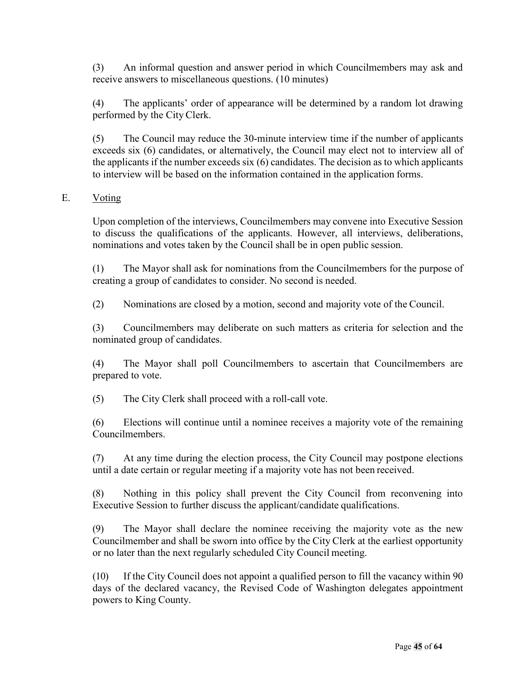(3) An informal question and answer period in which Councilmembers may ask and receive answers to miscellaneous questions. (10 minutes)

(4) The applicants' order of appearance will be determined by a random lot drawing performed by the City Clerk.

(5) The Council may reduce the 30-minute interview time if the number of applicants exceeds six (6) candidates, or alternatively, the Council may elect not to interview all of the applicants if the number exceeds six (6) candidates. The decision as to which applicants to interview will be based on the information contained in the application forms.

#### E. Voting

Upon completion of the interviews, Councilmembers may convene into Executive Session to discuss the qualifications of the applicants. However, all interviews, deliberations, nominations and votes taken by the Council shall be in open public session.

(1) The Mayor shall ask for nominations from the Councilmembers for the purpose of creating a group of candidates to consider. No second is needed.

(2) Nominations are closed by a motion, second and majority vote of the Council.

(3) Councilmembers may deliberate on such matters as criteria for selection and the nominated group of candidates.

(4) The Mayor shall poll Councilmembers to ascertain that Councilmembers are prepared to vote.

(5) The City Clerk shall proceed with a roll-call vote.

(6) Elections will continue until a nominee receives a majority vote of the remaining Councilmembers.

(7) At any time during the election process, the City Council may postpone elections until a date certain or regular meeting if a majority vote has not been received.

(8) Nothing in this policy shall prevent the City Council from reconvening into Executive Session to further discuss the applicant/candidate qualifications.

(9) The Mayor shall declare the nominee receiving the majority vote as the new Councilmember and shall be sworn into office by the City Clerk at the earliest opportunity or no later than the next regularly scheduled City Council meeting.

(10) If the City Council does not appoint a qualified person to fill the vacancy within 90 days of the declared vacancy, the Revised Code of Washington delegates appointment powers to King County.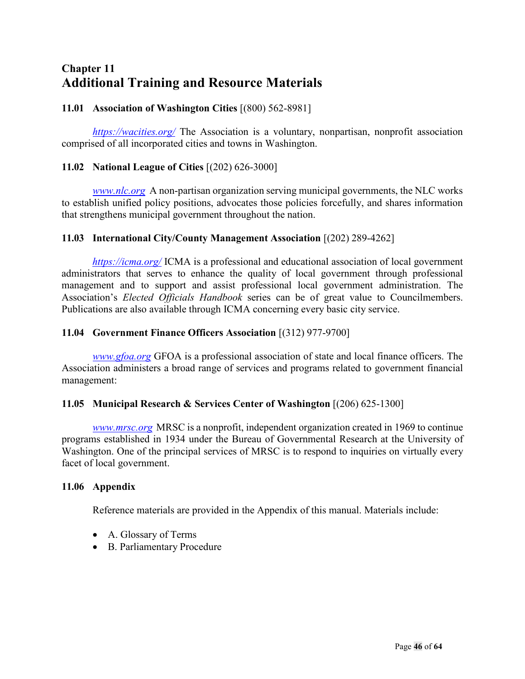## <span id="page-45-0"></span>**Chapter 11 Additional Training and Resource Materials**

#### <span id="page-45-1"></span>**11.01 Association of Washington Cities** [(800) 562-8981]

*<https://wacities.org/>* The Association is a voluntary, nonpartisan, nonprofit association comprised of all incorporated cities and towns in Washington.

#### <span id="page-45-2"></span>**11.02 National League of Cities** [(202) 626-3000]

*[www.nlc.org](http://www.nlc.org/)* A non-partisan organization serving municipal governments, the NLC works to establish unified policy positions, advocates those policies forcefully, and shares information that strengthens municipal government throughout the nation.

#### <span id="page-45-3"></span>**11.03 International City/County Management Association** [(202) 289-4262]

*<https://icma.org/>* ICMA is a professional and educational association of local government administrators that serves to enhance the quality of local government through professional management and to support and assist professional local government administration. The Association's *Elected Officials Handbook* series can be of great value to Councilmembers. Publications are also available through ICMA concerning every basic city service.

#### <span id="page-45-4"></span>**11.04 Government Finance Officers Association** [(312) 977-9700]

*[www.gfoa.org](http://www.gfoa.org/)* GFOA is a professional association of state and local finance officers. The Association administers a broad range of services and programs related to government financial management:

#### <span id="page-45-5"></span>**11.05 Municipal Research & Services Center of Washington** [(206) 625-1300]

*[www.mrsc.org](http://www.mrsc.org/)* MRSC is a nonprofit, independent organization created in 1969 to continue programs established in 1934 under the Bureau of Governmental Research at the University of Washington. One of the principal services of MRSC is to respond to inquiries on virtually every facet of local government.

#### <span id="page-45-6"></span>**11.06 Appendix**

Reference materials are provided in the Appendix of this manual. Materials include:

- A. Glossary of Terms
- B. Parliamentary Procedure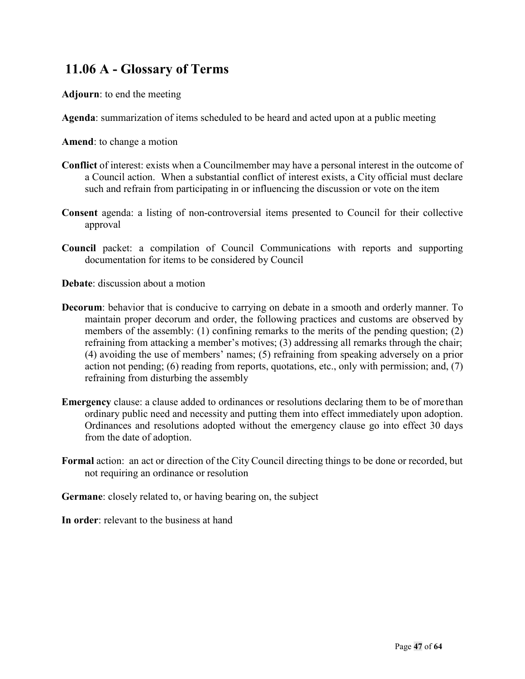## **11.06 A - Glossary of Terms**

**Adjourn**: to end the meeting

**Agenda**: summarization of items scheduled to be heard and acted upon at a public meeting

**Amend**: to change a motion

- **Conflict** of interest: exists when a Councilmember may have a personal interest in the outcome of a Council action. When a substantial conflict of interest exists, a City official must declare such and refrain from participating in or influencing the discussion or vote on the item
- **Consent** agenda: a listing of non-controversial items presented to Council for their collective approval
- **Council** packet: a compilation of Council Communications with reports and supporting documentation for items to be considered by Council

**Debate**: discussion about a motion

- **Decorum**: behavior that is conducive to carrying on debate in a smooth and orderly manner. To maintain proper decorum and order, the following practices and customs are observed by members of the assembly: (1) confining remarks to the merits of the pending question; (2) refraining from attacking a member's motives; (3) addressing all remarks through the chair; (4) avoiding the use of members' names; (5) refraining from speaking adversely on a prior action not pending; (6) reading from reports, quotations, etc., only with permission; and, (7) refraining from disturbing the assembly
- **Emergency** clause: a clause added to ordinances or resolutions declaring them to be of morethan ordinary public need and necessity and putting them into effect immediately upon adoption. Ordinances and resolutions adopted without the emergency clause go into effect 30 days from the date of adoption.
- **Formal** action: an act or direction of the City Council directing things to be done or recorded, but not requiring an ordinance or resolution

**Germane**: closely related to, or having bearing on, the subject

**In order**: relevant to the business at hand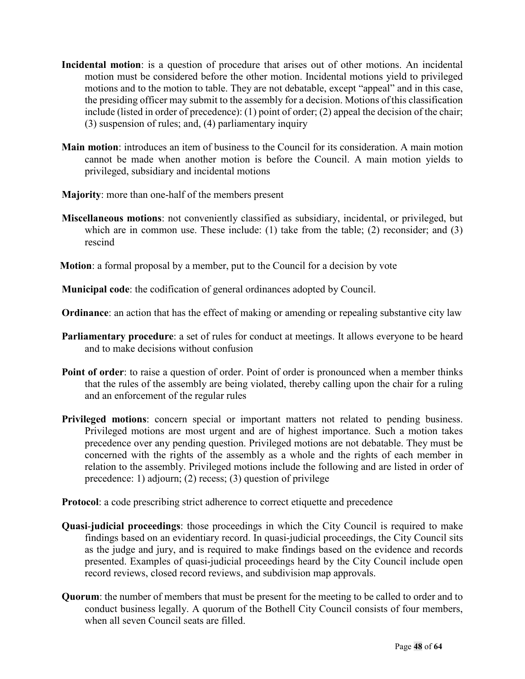- **Incidental motion**: is a question of procedure that arises out of other motions. An incidental motion must be considered before the other motion. Incidental motions yield to privileged motions and to the motion to table. They are not debatable, except "appeal" and in this case, the presiding officer may submit to the assembly for a decision. Motions ofthis classification include (listed in order of precedence): (1) point of order; (2) appeal the decision of the chair; (3) suspension of rules; and, (4) parliamentary inquiry
- **Main motion**: introduces an item of business to the Council for its consideration. A main motion cannot be made when another motion is before the Council. A main motion yields to privileged, subsidiary and incidental motions
- **Majority**: more than one-half of the members present
- **Miscellaneous motions**: not conveniently classified as subsidiary, incidental, or privileged, but which are in common use. These include: (1) take from the table; (2) reconsider; and (3) rescind
- **Motion**: a formal proposal by a member, put to the Council for a decision by vote

**Municipal code**: the codification of general ordinances adopted by Council.

**Ordinance**: an action that has the effect of making or amending or repealing substantive city law

- **Parliamentary procedure**: a set of rules for conduct at meetings. It allows everyone to be heard and to make decisions without confusion
- **Point of order:** to raise a question of order. Point of order is pronounced when a member thinks that the rules of the assembly are being violated, thereby calling upon the chair for a ruling and an enforcement of the regular rules
- **Privileged motions**: concern special or important matters not related to pending business. Privileged motions are most urgent and are of highest importance. Such a motion takes precedence over any pending question. Privileged motions are not debatable. They must be concerned with the rights of the assembly as a whole and the rights of each member in relation to the assembly. Privileged motions include the following and are listed in order of precedence: 1) adjourn; (2) recess; (3) question of privilege

**Protocol**: a code prescribing strict adherence to correct etiquette and precedence

- **Quasi**-**judicial proceedings**: those proceedings in which the City Council is required to make findings based on an evidentiary record. In quasi-judicial proceedings, the City Council sits as the judge and jury, and is required to make findings based on the evidence and records presented. Examples of quasi-judicial proceedings heard by the City Council include open record reviews, closed record reviews, and subdivision map approvals.
- **Quorum**: the number of members that must be present for the meeting to be called to order and to conduct business legally. A quorum of the Bothell City Council consists of four members, when all seven Council seats are filled.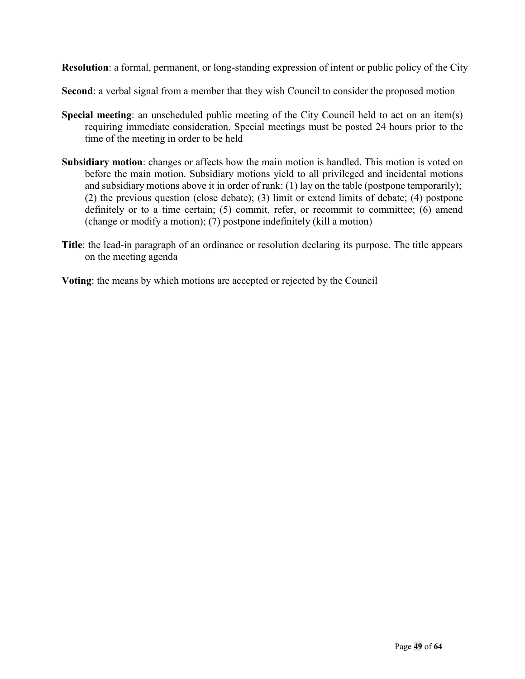**Resolution**: a formal, permanent, or long-standing expression of intent or public policy of the City

**Second**: a verbal signal from a member that they wish Council to consider the proposed motion

- **Special meeting:** an unscheduled public meeting of the City Council held to act on an item(s) requiring immediate consideration. Special meetings must be posted 24 hours prior to the time of the meeting in order to be held
- **Subsidiary motion**: changes or affects how the main motion is handled. This motion is voted on before the main motion. Subsidiary motions yield to all privileged and incidental motions and subsidiary motions above it in order of rank: (1) lay on the table (postpone temporarily); (2) the previous question (close debate); (3) limit or extend limits of debate; (4) postpone definitely or to a time certain; (5) commit, refer, or recommit to committee; (6) amend (change or modify a motion); (7) postpone indefinitely (kill a motion)
- **Title**: the lead-in paragraph of an ordinance or resolution declaring its purpose. The title appears on the meeting agenda

**Voting**: the means by which motions are accepted or rejected by the Council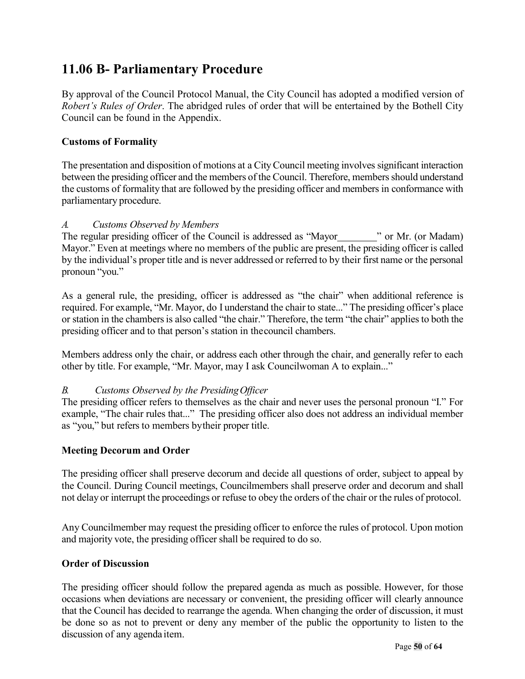## **11.06 B- Parliamentary Procedure**

By approval of the Council Protocol Manual, the City Council has adopted a modified version of *Robert's Rules of Order*. The abridged rules of order that will be entertained by the Bothell City Council can be found in the Appendix.

#### **Customs of Formality**

The presentation and disposition of motions at a CityCouncil meeting involves significant interaction between the presiding officer and the members of the Council. Therefore, members should understand the customs of formality that are followed by the presiding officer and members in conformance with parliamentary procedure.

#### *A. Customs Observed by Members*

The regular presiding officer of the Council is addressed as "Mayor " or Mr. (or Madam) Mayor." Even at meetings where no members of the public are present, the presiding officer is called by the individual's proper title and is never addressed or referred to by their first name or the personal pronoun "you."

As a general rule, the presiding, officer is addressed as "the chair" when additional reference is required. For example, "Mr. Mayor, do I understand the chair to state..." The presiding officer's place or station in the chambers is also called "the chair." Therefore, the term "the chair" applies to both the presiding officer and to that person's station in thecouncil chambers.

Members address only the chair, or address each other through the chair, and generally refer to each other by title. For example, "Mr. Mayor, may I ask Councilwoman A to explain..."

#### *B. Customs Observed by the PresidingOfficer*

The presiding officer refers to themselves as the chair and never uses the personal pronoun "I." For example, "The chair rules that..." The presiding officer also does not address an individual member as "you," but refers to members bytheir proper title.

#### **Meeting Decorum and Order**

The presiding officer shall preserve decorum and decide all questions of order, subject to appeal by the Council. During Council meetings, Councilmembers shall preserve order and decorum and shall not delay or interrupt the proceedings or refuse to obey the orders of the chair or the rules of protocol.

Any Councilmember may request the presiding officer to enforce the rules of protocol. Upon motion and majority vote, the presiding officer shall be required to do so.

#### **Order of Discussion**

The presiding officer should follow the prepared agenda as much as possible. However, for those occasions when deviations are necessary or convenient, the presiding officer will clearly announce that the Council has decided to rearrange the agenda. When changing the order of discussion, it must be done so as not to prevent or deny any member of the public the opportunity to listen to the discussion of any agenda item.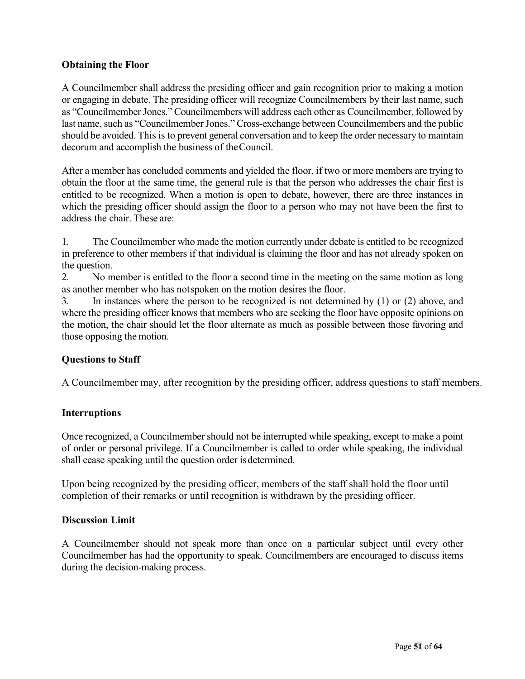#### **Obtaining the Floor**

A Councilmember shall address the presiding officer and gain recognition prior to making a motion or engaging in debate. The presiding officer will recognize Councilmembers by their last name, such as "Councilmember Jones." Councilmembers will address each other as Councilmember, followed by last name, such as "Councilmember Jones." Cross-exchange between Councilmembers and the public should be avoided. This is to prevent general conversation and to keep the order necessary to maintain decorum and accomplish the business of theCouncil.

After a member has concluded comments and yielded the floor, if two or more members are trying to obtain the floor at the same time, the general rule is that the person who addresses the chair first is entitled to be recognized. When a motion is open to debate, however, there are three instances in which the presiding officer should assign the floor to a person who may not have been the first to address the chair. These are:

1. The Councilmember who made the motion currently under debate is entitled to be recognized in preference to other members if that individual is claiming the floor and has not already spoken on the question.

2. No member is entitled to the floor a second time in the meeting on the same motion as long as another member who has notspoken on the motion desires the floor.

3. In instances where the person to be recognized is not determined by (1) or (2) above, and where the presiding officer knows that members who are seeking the floor have opposite opinions on the motion, the chair should let the floor alternate as much as possible between those favoring and those opposing the motion.

#### **Questions to Staff**

A Councilmember may, after recognition by the presiding officer, address questions to staff members.

#### **Interruptions**

Once recognized, a Councilmember should not be interrupted while speaking, except to make a point of order or personal privilege. If a Councilmember is called to order while speaking, the individual shall cease speaking until the question order is determined.

Upon being recognized by the presiding officer, members of the staff shall hold the floor until completion of their remarks or until recognition is withdrawn by the presiding officer.

#### **Discussion Limit**

A Councilmember should not speak more than once on a particular subject until every other Councilmember has had the opportunity to speak. Councilmembers are encouraged to discuss items during the decision-making process.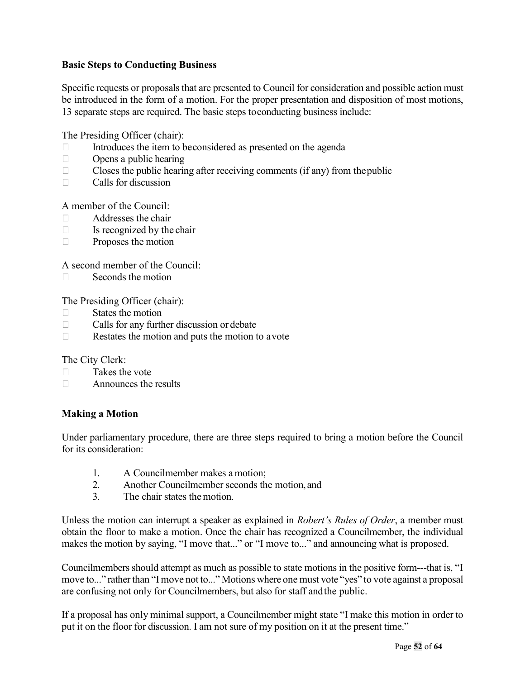#### **Basic Steps to Conducting Business**

Specific requests or proposals that are presented to Council for consideration and possible action must be introduced in the form of a motion. For the proper presentation and disposition of most motions, 13 separate steps are required. The basic steps toconducting business include:

The Presiding Officer (chair):

- $\Box$  Introduces the item to beconsidered as presented on the agenda
- $\Box$  Opens a public hearing
- $\Box$  Closes the public hearing after receiving comments (if any) from the public
- $\Box$  Calls for discussion

A member of the Council:

- $\Box$  Addresses the chair
- $\Box$  Is recognized by the chair
- $\Box$  Proposes the motion

A second member of the Council:

 $\square$  Seconds the motion

The Presiding Officer (chair):

- $\Box$  States the motion
- $\Box$  Calls for any further discussion or debate
- $\Box$  Restates the motion and puts the motion to avote

The City Clerk:

- $\Box$  Takes the vote
- $\Box$  Announces the results

#### **Making a Motion**

Under parliamentary procedure, there are three steps required to bring a motion before the Council for its consideration:

- 1. A Councilmember makes a motion;
- 2. Another Councilmember seconds the motion, and
- 3. The chair states themotion.

Unless the motion can interrupt a speaker as explained in *Robert's Rules of Order*, a member must obtain the floor to make a motion. Once the chair has recognized a Councilmember, the individual makes the motion by saying, "I move that..." or "I move to..." and announcing what is proposed.

Councilmembers should attempt as much as possible to state motions in the positive form---that is, "I move to..." rather than "I move not to..." Motions where one must vote "yes" to vote against a proposal are confusing not only for Councilmembers, but also for staff andthe public.

If a proposal has only minimal support, a Councilmember might state "I make this motion in order to put it on the floor for discussion. I am not sure of my position on it at the present time."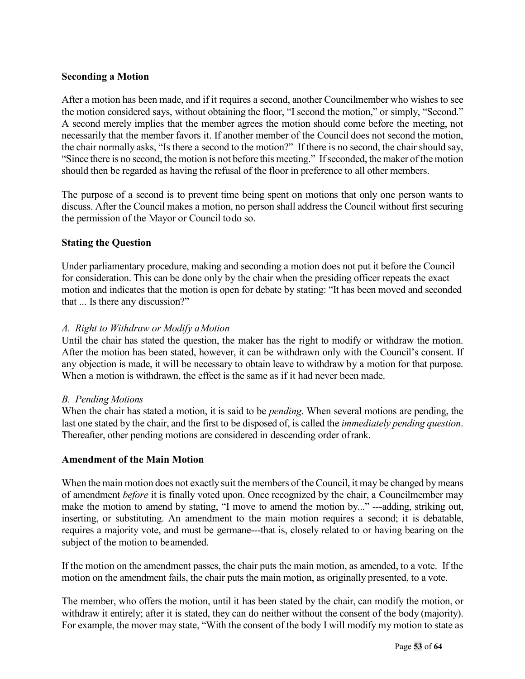#### **Seconding a Motion**

After a motion has been made, and if it requires a second, another Councilmember who wishes to see the motion considered says, without obtaining the floor, "I second the motion," or simply, "Second." A second merely implies that the member agrees the motion should come before the meeting, not necessarily that the member favors it. If another member of the Council does not second the motion, the chair normally asks, "Is there a second to the motion?" If there is no second, the chair should say, "Since there is no second, the motion is not before this meeting." Ifseconded, the maker of the motion should then be regarded as having the refusal of the floor in preference to all other members.

The purpose of a second is to prevent time being spent on motions that only one person wants to discuss. After the Council makes a motion, no person shall address the Council without first securing the permission of the Mayor or Council todo so.

#### **Stating the Question**

Under parliamentary procedure, making and seconding a motion does not put it before the Council for consideration. This can be done only by the chair when the presiding officer repeats the exact motion and indicates that the motion is open for debate by stating: "It has been moved and seconded that ... Is there any discussion?"

#### *A. Right to Withdraw or Modify aMotion*

Until the chair has stated the question, the maker has the right to modify or withdraw the motion. After the motion has been stated, however, it can be withdrawn only with the Council's consent. If any objection is made, it will be necessary to obtain leave to withdraw by a motion for that purpose. When a motion is withdrawn, the effect is the same as if it had never been made.

#### *B. Pending Motions*

When the chair has stated a motion, it is said to be *pending*. When several motions are pending, the last one stated by the chair, and the first to be disposed of, is called the *immediately pending question*. Thereafter, other pending motions are considered in descending order ofrank.

#### **Amendment of the Main Motion**

When the main motion does not exactly suit the members of the Council, it may be changed by means of amendment *before* it is finally voted upon. Once recognized by the chair, a Councilmember may make the motion to amend by stating, "I move to amend the motion by..." ---adding, striking out, inserting, or substituting. An amendment to the main motion requires a second; it is debatable, requires a majority vote, and must be germane---that is, closely related to or having bearing on the subject of the motion to beamended.

If the motion on the amendment passes, the chair puts the main motion, as amended, to a vote. If the motion on the amendment fails, the chair puts the main motion, as originally presented, to a vote.

The member, who offers the motion, until it has been stated by the chair, can modify the motion, or withdraw it entirely; after it is stated, they can do neither without the consent of the body (majority). For example, the mover may state, "With the consent of the body I will modify my motion to state as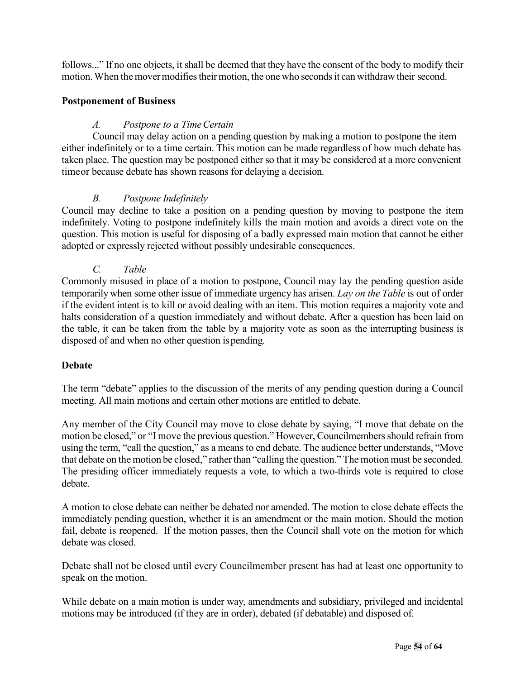follows..." If no one objects, it shall be deemed that they have the consent of the body to modify their motion. When the mover modifies their motion, the one who seconds it can withdraw their second.

#### **Postponement of Business**

#### *A. Postpone to a TimeCertain*

Council may delay action on a pending question by making a motion to postpone the item either indefinitely or to a time certain. This motion can be made regardless of how much debate has taken place. The question may be postponed either so that it may be considered at a more convenient timeor because debate has shown reasons for delaying a decision.

#### *B. Postpone Indefinitely*

Council may decline to take a position on a pending question by moving to postpone the item indefinitely. Voting to postpone indefinitely kills the main motion and avoids a direct vote on the question. This motion is useful for disposing of a badly expressed main motion that cannot be either adopted or expressly rejected without possibly undesirable consequences.

*C. Table*

Commonly misused in place of a motion to postpone, Council may lay the pending question aside temporarily when some other issue of immediate urgency has arisen. *Lay on the Table* is out of order if the evident intent is to kill or avoid dealing with an item. This motion requires a majority vote and halts consideration of a question immediately and without debate. After a question has been laid on the table, it can be taken from the table by a majority vote as soon as the interrupting business is disposed of and when no other question ispending.

#### **Debate**

The term "debate" applies to the discussion of the merits of any pending question during a Council meeting. All main motions and certain other motions are entitled to debate.

Any member of the City Council may move to close debate by saying, "I move that debate on the motion be closed," or "I move the previous question." However, Councilmembers should refrain from using the term, "call the question," as a means to end debate. The audience better understands, "Move that debate on the motion be closed," rather than "calling the question." The motion must be seconded. The presiding officer immediately requests a vote, to which a two-thirds vote is required to close debate.

A motion to close debate can neither be debated nor amended. The motion to close debate effects the immediately pending question, whether it is an amendment or the main motion. Should the motion fail, debate is reopened. If the motion passes, then the Council shall vote on the motion for which debate was closed.

Debate shall not be closed until every Councilmember present has had at least one opportunity to speak on the motion.

While debate on a main motion is under way, amendments and subsidiary, privileged and incidental motions may be introduced (if they are in order), debated (if debatable) and disposed of.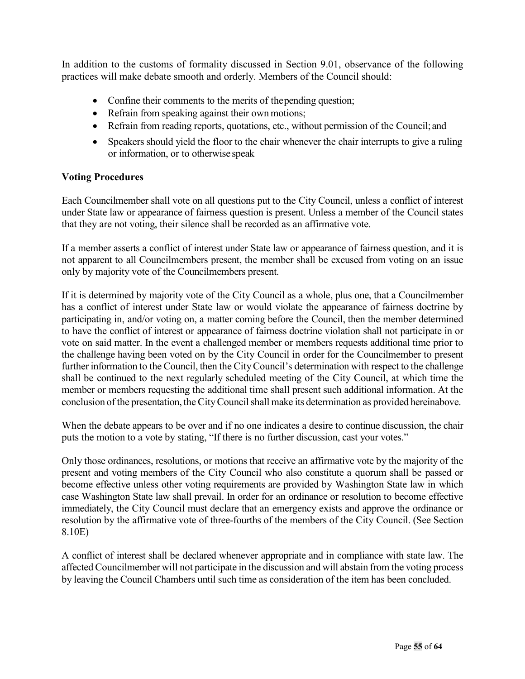In addition to the customs of formality discussed in Section 9.01, observance of the following practices will make debate smooth and orderly. Members of the Council should:

- Confine their comments to the merits of the pending question;
- Refrain from speaking against their own motions;
- Refrain from reading reports, quotations, etc., without permission of the Council; and
- Speakers should yield the floor to the chair whenever the chair interrupts to give a ruling or information, or to otherwise speak

#### **Voting Procedures**

Each Councilmember shall vote on all questions put to the City Council, unless a conflict of interest under State law or appearance of fairness question is present. Unless a member of the Council states that they are not voting, their silence shall be recorded as an affirmative vote.

If a member asserts a conflict of interest under State law or appearance of fairness question, and it is not apparent to all Councilmembers present, the member shall be excused from voting on an issue only by majority vote of the Councilmembers present.

If it is determined by majority vote of the City Council as a whole, plus one, that a Councilmember has a conflict of interest under State law or would violate the appearance of fairness doctrine by participating in, and/or voting on, a matter coming before the Council, then the member determined to have the conflict of interest or appearance of fairness doctrine violation shall not participate in or vote on said matter. In the event a challenged member or members requests additional time prior to the challenge having been voted on by the City Council in order for the Councilmember to present further information to the Council, then the CityCouncil's determination with respect to the challenge shall be continued to the next regularly scheduled meeting of the City Council, at which time the member or members requesting the additional time shall present such additional information. At the conclusion of the presentation, the City Council shall make its determination as provided hereinabove.

When the debate appears to be over and if no one indicates a desire to continue discussion, the chair puts the motion to a vote by stating, "If there is no further discussion, cast your votes."

Only those ordinances, resolutions, or motions that receive an affirmative vote by the majority of the present and voting members of the City Council who also constitute a quorum shall be passed or become effective unless other voting requirements are provided by Washington State law in which case Washington State law shall prevail. In order for an ordinance or resolution to become effective immediately, the City Council must declare that an emergency exists and approve the ordinance or resolution by the affirmative vote of three-fourths of the members of the City Council. (See Section 8.10E)

A conflict of interest shall be declared whenever appropriate and in compliance with state law. The affected Councilmember will not participate in the discussion and will abstain from the voting process by leaving the Council Chambers until such time as consideration of the item has been concluded.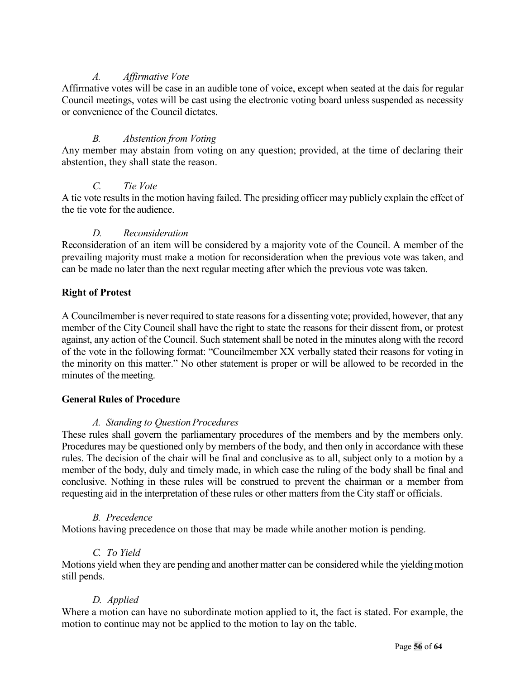#### *A. Affirmative Vote*

Affirmative votes will be case in an audible tone of voice, except when seated at the dais for regular Council meetings, votes will be cast using the electronic voting board unless suspended as necessity or convenience of the Council dictates.

#### *B. Abstention from Voting*

Any member may abstain from voting on any question; provided, at the time of declaring their abstention, they shall state the reason.

#### *C. Tie Vote*

A tie vote results in the motion having failed. The presiding officer may publicly explain the effect of the tie vote for the audience.

#### *D. Reconsideration*

Reconsideration of an item will be considered by a majority vote of the Council. A member of the prevailing majority must make a motion for reconsideration when the previous vote was taken, and can be made no later than the next regular meeting after which the previous vote was taken.

#### **Right of Protest**

A Councilmember is never required to state reasons for a dissenting vote; provided, however, that any member of the City Council shall have the right to state the reasons for their dissent from, or protest against, any action of the Council. Such statement shall be noted in the minutes along with the record of the vote in the following format: "Councilmember XX verbally stated their reasons for voting in the minority on this matter." No other statement is proper or will be allowed to be recorded in the minutes of themeeting.

#### **General Rules of Procedure**

#### *A. Standing to QuestionProcedures*

These rules shall govern the parliamentary procedures of the members and by the members only. Procedures may be questioned only by members of the body, and then only in accordance with these rules. The decision of the chair will be final and conclusive as to all, subject only to a motion by a member of the body, duly and timely made, in which case the ruling of the body shall be final and conclusive. Nothing in these rules will be construed to prevent the chairman or a member from requesting aid in the interpretation of these rules or other matters from the City staff or officials.

#### *B. Precedence*

Motions having precedence on those that may be made while another motion is pending.

#### *C. To Yield*

Motions yield when they are pending and another matter can be considered while the yielding motion still pends.

#### *D. Applied*

Where a motion can have no subordinate motion applied to it, the fact is stated. For example, the motion to continue may not be applied to the motion to lay on the table.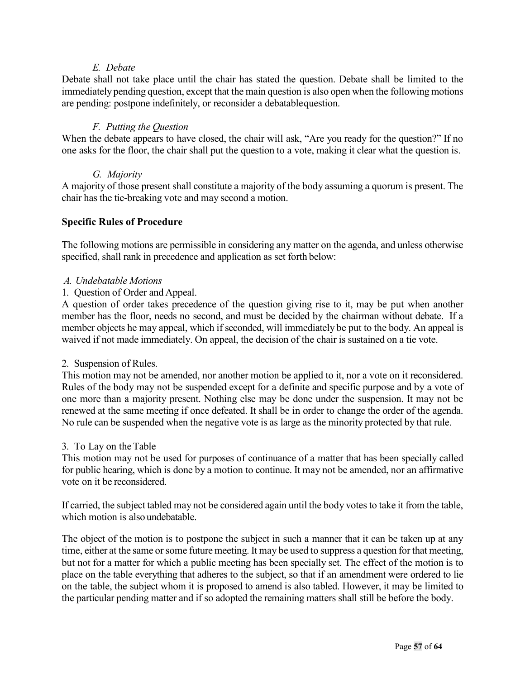#### *E. Debate*

Debate shall not take place until the chair has stated the question. Debate shall be limited to the immediately pending question, except that the main question is also open when the following motions are pending: postpone indefinitely, or reconsider a debatablequestion.

#### *F. Putting the Question*

When the debate appears to have closed, the chair will ask, "Are you ready for the question?" If no one asks for the floor, the chair shall put the question to a vote, making it clear what the question is.

#### *G. Majority*

A majority of those present shall constitute a majority of the body assuming a quorum is present. The chair has the tie-breaking vote and may second a motion.

#### **Specific Rules of Procedure**

The following motions are permissible in considering any matter on the agenda, and unless otherwise specified, shall rank in precedence and application as set forth below:

#### *A. Undebatable Motions*

#### 1. Question of Order and Appeal.

A question of order takes precedence of the question giving rise to it, may be put when another member has the floor, needs no second, and must be decided by the chairman without debate. If a member objects he may appeal, which if seconded, will immediately be put to the body. An appeal is waived if not made immediately. On appeal, the decision of the chair is sustained on a tie vote.

#### 2. Suspension of Rules.

This motion may not be amended, nor another motion be applied to it, nor a vote on it reconsidered. Rules of the body may not be suspended except for a definite and specific purpose and by a vote of one more than a majority present. Nothing else may be done under the suspension. It may not be renewed at the same meeting if once defeated. It shall be in order to change the order of the agenda. No rule can be suspended when the negative vote is as large as the minority protected by that rule.

#### 3. To Lay on theTable

This motion may not be used for purposes of continuance of a matter that has been specially called for public hearing, which is done by a motion to continue. It may not be amended, nor an affirmative vote on it be reconsidered.

If carried, the subject tabled may not be considered again until the body votes to take it from the table, which motion is also undebatable.

The object of the motion is to postpone the subject in such a manner that it can be taken up at any time, either at the same or some future meeting. It may be used to suppress a question for that meeting, but not for a matter for which a public meeting has been specially set. The effect of the motion is to place on the table everything that adheres to the subject, so that if an amendment were ordered to lie on the table, the subject whom it is proposed to amend is also tabled. However, it may be limited to the particular pending matter and if so adopted the remaining matters shall still be before the body.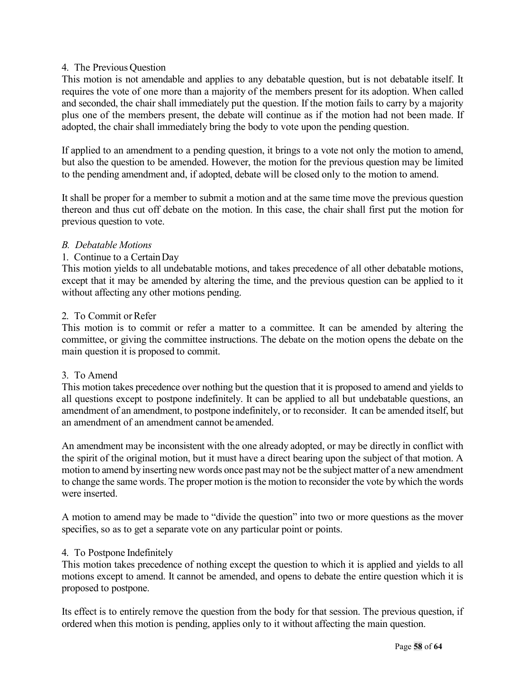#### 4. The Previous Question

This motion is not amendable and applies to any debatable question, but is not debatable itself. It requires the vote of one more than a majority of the members present for its adoption. When called and seconded, the chair shall immediately put the question. If the motion fails to carry by a majority plus one of the members present, the debate will continue as if the motion had not been made. If adopted, the chair shall immediately bring the body to vote upon the pending question.

If applied to an amendment to a pending question, it brings to a vote not only the motion to amend, but also the question to be amended. However, the motion for the previous question may be limited to the pending amendment and, if adopted, debate will be closed only to the motion to amend.

It shall be proper for a member to submit a motion and at the same time move the previous question thereon and thus cut off debate on the motion. In this case, the chair shall first put the motion for previous question to vote.

#### *B. Debatable Motions*

#### 1. Continue to a CertainDay

This motion yields to all undebatable motions, and takes precedence of all other debatable motions, except that it may be amended by altering the time, and the previous question can be applied to it without affecting any other motions pending.

#### 2. To Commit or Refer

This motion is to commit or refer a matter to a committee. It can be amended by altering the committee, or giving the committee instructions. The debate on the motion opens the debate on the main question it is proposed to commit.

#### 3. To Amend

This motion takes precedence over nothing but the question that it is proposed to amend and yields to all questions except to postpone indefinitely. It can be applied to all but undebatable questions, an amendment of an amendment, to postpone indefinitely, or to reconsider. It can be amended itself, but an amendment of an amendment cannot be amended.

An amendment may be inconsistent with the one already adopted, or may be directly in conflict with the spirit of the original motion, but it must have a direct bearing upon the subject of that motion. A motion to amend by inserting new words once past may not be the subject matter of a new amendment to change the same words. The proper motion is the motion to reconsider the vote by which the words were inserted.

A motion to amend may be made to "divide the question" into two or more questions as the mover specifies, so as to get a separate vote on any particular point or points.

#### 4. To Postpone Indefinitely

This motion takes precedence of nothing except the question to which it is applied and yields to all motions except to amend. It cannot be amended, and opens to debate the entire question which it is proposed to postpone.

Its effect is to entirely remove the question from the body for that session. The previous question, if ordered when this motion is pending, applies only to it without affecting the main question.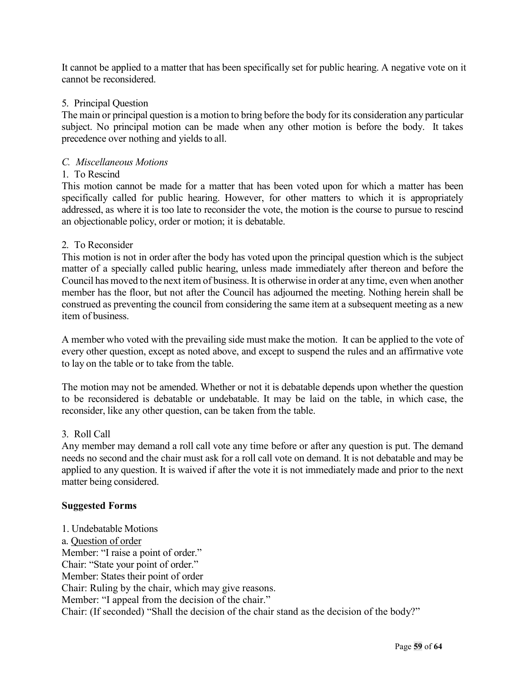It cannot be applied to a matter that has been specifically set for public hearing. A negative vote on it cannot be reconsidered.

#### 5. Principal Question

The main or principal question is a motion to bring before the body for its consideration any particular subject. No principal motion can be made when any other motion is before the body. It takes precedence over nothing and yields to all.

#### *C. Miscellaneous Motions*

#### 1. To Rescind

This motion cannot be made for a matter that has been voted upon for which a matter has been specifically called for public hearing. However, for other matters to which it is appropriately addressed, as where it is too late to reconsider the vote, the motion is the course to pursue to rescind an objectionable policy, order or motion; it is debatable.

#### 2. To Reconsider

This motion is not in order after the body has voted upon the principal question which is the subject matter of a specially called public hearing, unless made immediately after thereon and before the Council has moved to the next item of business. It is otherwise in order at any time, even when another member has the floor, but not after the Council has adjourned the meeting. Nothing herein shall be construed as preventing the council from considering the same item at a subsequent meeting as a new item of business.

A member who voted with the prevailing side must make the motion. It can be applied to the vote of every other question, except as noted above, and except to suspend the rules and an affirmative vote to lay on the table or to take from the table.

The motion may not be amended. Whether or not it is debatable depends upon whether the question to be reconsidered is debatable or undebatable. It may be laid on the table, in which case, the reconsider, like any other question, can be taken from the table.

#### 3. Roll Call

Any member may demand a roll call vote any time before or after any question is put. The demand needs no second and the chair must ask for a roll call vote on demand. It is not debatable and may be applied to any question. It is waived if after the vote it is not immediately made and prior to the next matter being considered.

#### **Suggested Forms**

1. Undebatable Motions a. Question of order Member: "I raise a point of order." Chair: "State your point of order." Member: States their point of order Chair: Ruling by the chair, which may give reasons. Member: "I appeal from the decision of the chair." Chair: (If seconded) "Shall the decision of the chair stand as the decision of the body?"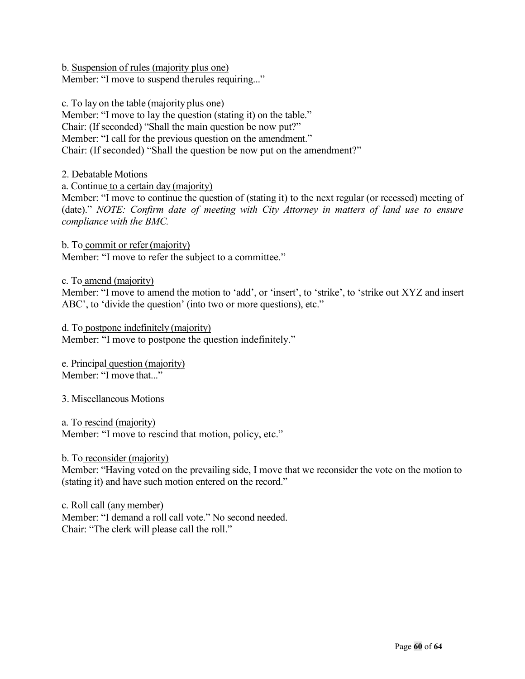b. Suspension of rules (majority plus one) Member: "I move to suspend therules requiring..."

c. To lay on the table (majority plus one)

Member: "I move to lay the question (stating it) on the table." Chair: (If seconded) "Shall the main question be now put?" Member: "I call for the previous question on the amendment." Chair: (If seconded) "Shall the question be now put on the amendment?"

2. Debatable Motions

a. Continue to a certain day (majority)

Member: "I move to continue the question of (stating it) to the next regular (or recessed) meeting of (date)." *NOTE: Confirm date of meeting with City Attorney in matters of land use to ensure compliance with the BMC.*

b. To commit or refer (majority) Member: "I move to refer the subject to a committee."

c. To amend (majority)

Member: "I move to amend the motion to 'add', or 'insert', to 'strike', to 'strike out XYZ and insert ABC', to 'divide the question' (into two or more questions), etc."

d. To postpone indefinitely (majority) Member: "I move to postpone the question indefinitely."

e. Principal question (majority) Member: "I move that..."

3. Miscellaneous Motions

a. To rescind (majority) Member: "I move to rescind that motion, policy, etc."

b. To reconsider (majority)

Member: "Having voted on the prevailing side, I move that we reconsider the vote on the motion to (stating it) and have such motion entered on the record."

c. Roll call (any member) Member: "I demand a roll call vote." No second needed. Chair: "The clerk will please call the roll."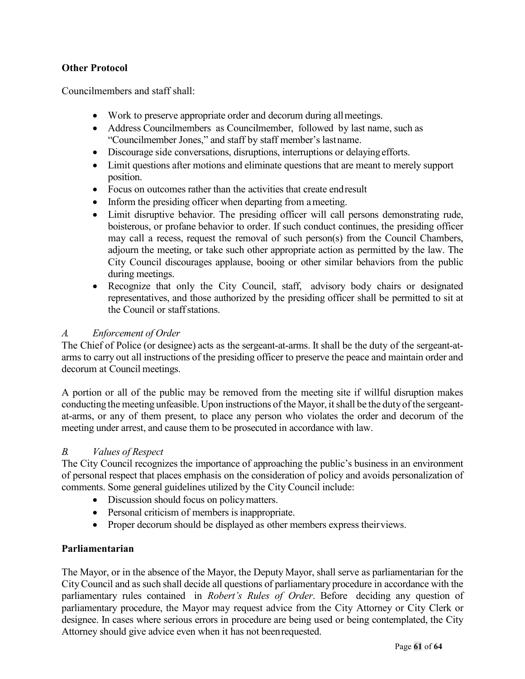#### **Other Protocol**

Councilmembers and staff shall:

- Work to preserve appropriate order and decorum during all meetings.
- Address Councilmembers as Councilmember, followed by last name, such as "Councilmember Jones," and staff by staff member's lastname.
- Discourage side conversations, disruptions, interruptions or delayingefforts.
- Limit questions after motions and eliminate questions that are meant to merely support position.
- Focus on outcomes rather than the activities that create end result
- Inform the presiding officer when departing from a meeting.
- Limit disruptive behavior. The presiding officer will call persons demonstrating rude, boisterous, or profane behavior to order. If such conduct continues, the presiding officer may call a recess, request the removal of such person(s) from the Council Chambers, adjourn the meeting, or take such other appropriate action as permitted by the law. The City Council discourages applause, booing or other similar behaviors from the public during meetings.
- Recognize that only the City Council, staff, advisory body chairs or designated representatives, and those authorized by the presiding officer shall be permitted to sit at the Council or staffstations.

#### *A. Enforcement of Order*

The Chief of Police (or designee) acts as the sergeant-at-arms. It shall be the duty of the sergeant-atarms to carry out all instructions of the presiding officer to preserve the peace and maintain order and decorum at Council meetings.

A portion or all of the public may be removed from the meeting site if willful disruption makes conducting the meeting unfeasible. Upon instructions of the Mayor, itshall be the dutyof the sergeantat-arms, or any of them present, to place any person who violates the order and decorum of the meeting under arrest, and cause them to be prosecuted in accordance with law.

#### *B. Values of Respect*

The City Council recognizes the importance of approaching the public's business in an environment of personal respect that places emphasis on the consideration of policy and avoids personalization of comments. Some general guidelines utilized by the City Council include:

- Discussion should focus on policy matters.
- Personal criticism of members is inappropriate.
- Proper decorum should be displayed as other members express their views.

#### **Parliamentarian**

The Mayor, or in the absence of the Mayor, the Deputy Mayor, shall serve as parliamentarian for the CityCouncil and as such shall decide all questions of parliamentary procedure in accordance with the parliamentary rules contained in *Robert's Rules of Order*. Before deciding any question of parliamentary procedure, the Mayor may request advice from the City Attorney or City Clerk or designee. In cases where serious errors in procedure are being used or being contemplated, the City Attorney should give advice even when it has not beenrequested.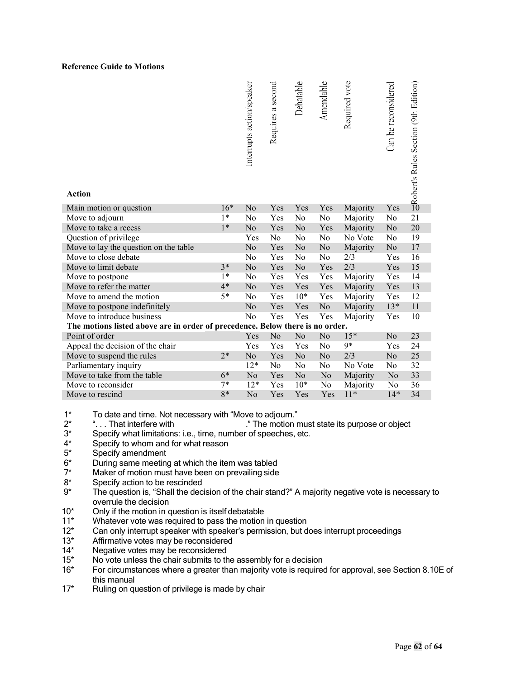#### **Reference Guide to Motions**

| <b>Action</b>                                                                 |       | Interrupts action/speaker | Requires a second | Debatable | Amendable      | Required vote | Can be reconsidered | Sect's Rules Section (9th Edition) |
|-------------------------------------------------------------------------------|-------|---------------------------|-------------------|-----------|----------------|---------------|---------------------|------------------------------------|
| Main motion or question                                                       | $16*$ | N <sub>o</sub>            | Yes               | Yes       | Yes            | Majority      | Yes                 |                                    |
| Move to adjourn                                                               | $1*$  | No                        | Yes               | No        | No             | Majority      | No                  | 21                                 |
| Move to take a recess                                                         | $1*$  | No                        | Yes               | No        | Yes            | Majority      | No                  | 20                                 |
| Question of privilege                                                         |       | Yes                       | No                | No        | No             | No Vote       | No                  | 19                                 |
| Move to lay the question on the table                                         |       | No                        | Yes               | No        | N <sub>o</sub> | Majority      | No                  | 17                                 |
| Move to close debate                                                          |       | No                        | Yes               | No        | N <sub>0</sub> | 2/3           | Yes                 | 16                                 |
| Move to limit debate                                                          | $3*$  | No                        | Yes               | No        | Yes            | 2/3           | Yes                 | 15                                 |
| Move to postpone                                                              | $1*$  | No                        | Yes               | Yes       | Yes            | Majority      | Yes                 | 14                                 |
| Move to refer the matter                                                      | $4*$  | No                        | Yes               | Yes       | Yes            | Majority      | Yes                 | 13                                 |
| Move to amend the motion                                                      | $5*$  | No                        | Yes               | $10*$     | Yes            | Majority      | Yes                 | 12                                 |
| Move to postpone indefinitely                                                 |       | No                        | Yes               | Yes       | No             | Majority      | $13*$               | 11                                 |
| Move to introduce business                                                    |       | No                        | Yes               | Yes       | Yes            | Majority      | Yes                 | 10                                 |
| The motions listed above are in order of precedence. Below there is no order. |       |                           |                   |           |                |               |                     |                                    |
| Point of order                                                                |       | Yes                       | No                | No        | No             | $15*$         | No                  | 23                                 |
| Appeal the decision of the chair                                              |       | Yes                       | Yes               | Yes       | N <sub>0</sub> | $9*$          | Yes                 | 24                                 |
| Move to suspend the rules                                                     | $2*$  | No                        | Yes               | No        | No             | 2/3           | No                  | 25                                 |
| Parliamentary inquiry                                                         |       | $12*$                     | No                | No        | No             | No Vote       | No                  | 32                                 |
| Move to take from the table                                                   | $6*$  | No                        | Yes               | No        | No             | Majority      | No                  | 33                                 |
| Move to reconsider                                                            | $7*$  | $12*$                     | Yes               | $10*$     | No             | Majority      | No                  | 36                                 |
| Move to rescind                                                               | 8*    | No                        | Yes               | Yes       | Yes            | $11*$         | $14*$               | 34                                 |

- 1\* To date and time. Not necessary with "Move to adjourn."<br>2\* ... That interfere with ... The motion r
- $2^*$  "... That interfere with  $\frac{1}{2^*}$  ... The motion must state its purpose or object  $3^*$  Specify what limitations: i.e., time, number of speeches, etc.
- 3\* Specify what limitations: i.e., time, number of speeches, etc.<br>4\* Specify to whom and for what reason
- $4^*$  Specify to whom and for what reason<br> $5^*$  Specify amendment
- 5\* Specify amendment<br>6\* During same meeting
- $6*$  During same meeting at which the item was tabled  $7*$  Maker of motion must have been on prevailing side
- $7^*$  Maker of motion must have been on prevailing side<br> $8^*$  Specify action to be rescinded
- $8*$  Specify action to be rescinded<br> $9*$  The question is. "Shall the dec
- The question is, "Shall the decision of the chair stand?" A majority negative vote is necessary to overrule the decision
- 10<sup>\*</sup> Only if the motion in question is itself debatable
- 11\* Whatever vote was required to pass the motion in question
- 12\* Can only interrupt speaker with speaker's permission, but does interrupt proceedings
- 13\* Affirmative votes may be reconsidered<br>14\* Negative votes may be reconsidered
- Negative votes may be reconsidered
- 15\* No vote unless the chair submits to the assembly for a decision
- 16\* For circumstances where a greater than majority vote is required for approval, see Section 8.10E of this manual
- 17\* Ruling on question of privilege is made by chair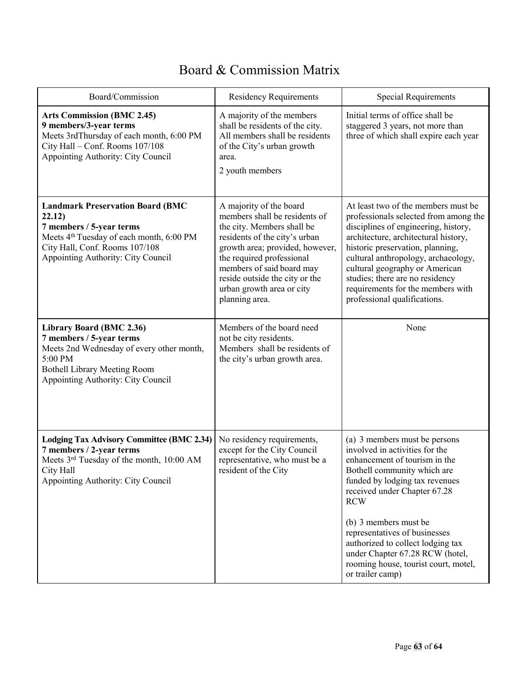## Board & Commission Matrix

| Board/Commission                                                                                                                                                                                              | <b>Residency Requirements</b>                                                                                                                                                                                                                                                                         | <b>Special Requirements</b>                                                                                                                                                                                                                                                                                                                                                                                   |
|---------------------------------------------------------------------------------------------------------------------------------------------------------------------------------------------------------------|-------------------------------------------------------------------------------------------------------------------------------------------------------------------------------------------------------------------------------------------------------------------------------------------------------|---------------------------------------------------------------------------------------------------------------------------------------------------------------------------------------------------------------------------------------------------------------------------------------------------------------------------------------------------------------------------------------------------------------|
| <b>Arts Commission (BMC 2.45)</b><br>9 members/3-year terms<br>Meets 3rdThursday of each month, 6:00 PM<br>City Hall - Conf. Rooms 107/108<br>Appointing Authority: City Council                              | A majority of the members<br>shall be residents of the city.<br>All members shall be residents<br>of the City's urban growth<br>area.<br>2 youth members                                                                                                                                              | Initial terms of office shall be<br>staggered 3 years, not more than<br>three of which shall expire each year                                                                                                                                                                                                                                                                                                 |
| <b>Landmark Preservation Board (BMC</b><br>22.12)<br>7 members / 5-year terms<br>Meets 4 <sup>th</sup> Tuesday of each month, 6:00 PM<br>City Hall, Conf. Rooms 107/108<br>Appointing Authority: City Council | A majority of the board<br>members shall be residents of<br>the city. Members shall be<br>residents of the city's urban<br>growth area; provided, however,<br>the required professional<br>members of said board may<br>reside outside the city or the<br>urban growth area or city<br>planning area. | At least two of the members must be<br>professionals selected from among the<br>disciplines of engineering, history,<br>architecture, architectural history,<br>historic preservation, planning,<br>cultural anthropology, archaeology,<br>cultural geography or American<br>studies; there are no residency<br>requirements for the members with<br>professional qualifications.                             |
| Library Board (BMC 2.36)<br>7 members / 5-year terms<br>Meets 2nd Wednesday of every other month,<br>5:00 PM<br><b>Bothell Library Meeting Room</b><br>Appointing Authority: City Council                     | Members of the board need<br>not be city residents.<br>Members shall be residents of<br>the city's urban growth area.                                                                                                                                                                                 | None                                                                                                                                                                                                                                                                                                                                                                                                          |
| <b>Lodging Tax Advisory Committee (BMC 2.34)</b><br>7 members / 2-year terms<br>Meets 3rd Tuesday of the month, 10:00 AM<br>City Hall<br>Appointing Authority: City Council                                   | No residency requirements,<br>except for the City Council<br>representative, who must be a<br>resident of the City                                                                                                                                                                                    | (a) 3 members must be persons<br>involved in activities for the<br>enhancement of tourism in the<br>Bothell community which are<br>funded by lodging tax revenues<br>received under Chapter 67.28<br><b>RCW</b><br>(b) 3 members must be<br>representatives of businesses<br>authorized to collect lodging tax<br>under Chapter 67.28 RCW (hotel,<br>rooming house, tourist court, motel,<br>or trailer camp) |